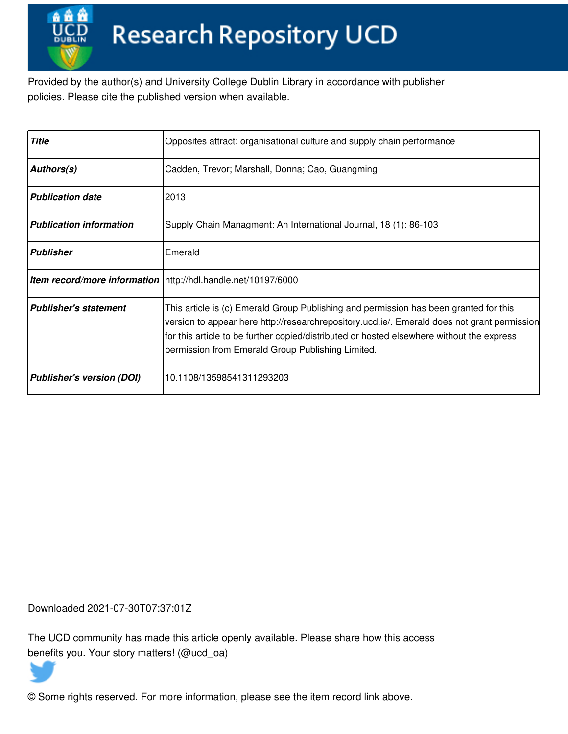Provided by the author(s) and University College Dublin Library in accordance with publisher policies. Please cite the published version when available.

| <b>Title</b>                     | Opposites attract: organisational culture and supply chain performance                                                                                                                                                                                                                                                                 |
|----------------------------------|----------------------------------------------------------------------------------------------------------------------------------------------------------------------------------------------------------------------------------------------------------------------------------------------------------------------------------------|
| <b>Authors(s)</b>                | Cadden, Trevor; Marshall, Donna; Cao, Guangming                                                                                                                                                                                                                                                                                        |
| <b>Publication date</b>          | 2013                                                                                                                                                                                                                                                                                                                                   |
| <b>Publication information</b>   | Supply Chain Managment: An International Journal, 18 (1): 86-103                                                                                                                                                                                                                                                                       |
| <b>Publisher</b>                 | Emerald                                                                                                                                                                                                                                                                                                                                |
|                                  | <b>Item record/more information</b> http://hdl.handle.net/10197/6000                                                                                                                                                                                                                                                                   |
| <b>Publisher's statement</b>     | This article is (c) Emerald Group Publishing and permission has been granted for this<br>version to appear here http://researchrepository.ucd.ie/. Emerald does not grant permission<br>for this article to be further copied/distributed or hosted elsewhere without the express<br>permission from Emerald Group Publishing Limited. |
| <b>Publisher's version (DOI)</b> | 10.1108/13598541311293203                                                                                                                                                                                                                                                                                                              |

Downloaded 2021-07-30T07:37:01Z

The UCD community has made this article openly available. Please share how this access benefits you. Your story matters! (@ucd\_oa)



© Some rights reserved. For more information, please see the item record link above.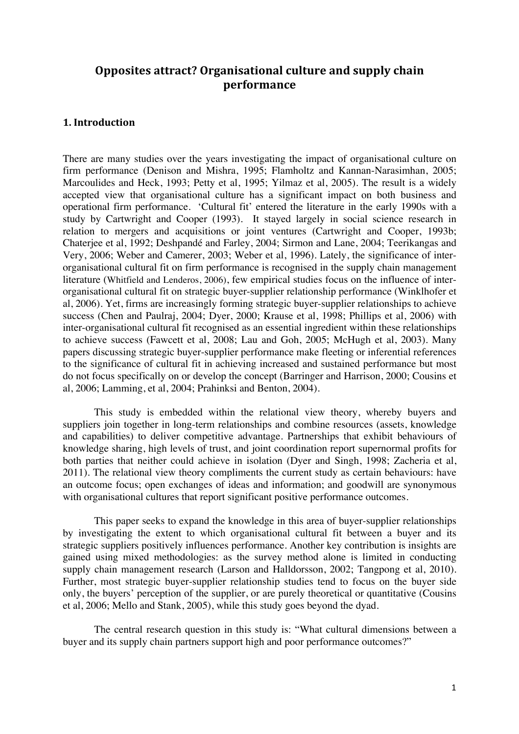# **Opposites attract? Organisational culture and supply chain performance**

## **1. 
Introduction**

There are many studies over the years investigating the impact of organisational culture on firm performance (Denison and Mishra, 1995; Flamholtz and Kannan-Narasimhan, 2005; Marcoulides and Heck, 1993; Petty et al, 1995; Yilmaz et al, 2005). The result is a widely accepted view that organisational culture has a significant impact on both business and operational firm performance. 'Cultural fit' entered the literature in the early 1990s with a study by Cartwright and Cooper (1993). It stayed largely in social science research in relation to mergers and acquisitions or joint ventures (Cartwright and Cooper, 1993b; Chaterjee et al, 1992; Deshpandé and Farley, 2004; Sirmon and Lane, 2004; Teerikangas and Very, 2006; Weber and Camerer, 2003; Weber et al, 1996). Lately, the significance of interorganisational cultural fit on firm performance is recognised in the supply chain management literature (Whitfield and Lenderos, 2006), few empirical studies focus on the influence of interorganisational cultural fit on strategic buyer-supplier relationship performance (Winklhofer et al, 2006). Yet, firms are increasingly forming strategic buyer-supplier relationships to achieve success (Chen and Paulraj, 2004; Dyer, 2000; Krause et al, 1998; Phillips et al, 2006) with inter-organisational cultural fit recognised as an essential ingredient within these relationships to achieve success (Fawcett et al, 2008; Lau and Goh, 2005; McHugh et al, 2003). Many papers discussing strategic buyer-supplier performance make fleeting or inferential references to the significance of cultural fit in achieving increased and sustained performance but most do not focus specifically on or develop the concept (Barringer and Harrison, 2000; Cousins et al, 2006; Lamming, et al, 2004; Prahinksi and Benton, 2004).

This study is embedded within the relational view theory, whereby buyers and suppliers join together in long-term relationships and combine resources (assets, knowledge and capabilities) to deliver competitive advantage. Partnerships that exhibit behaviours of knowledge sharing, high levels of trust, and joint coordination report supernormal profits for both parties that neither could achieve in isolation (Dyer and Singh, 1998; Zacheria et al, 2011). The relational view theory compliments the current study as certain behaviours: have an outcome focus; open exchanges of ideas and information; and goodwill are synonymous with organisational cultures that report significant positive performance outcomes.

This paper seeks to expand the knowledge in this area of buyer-supplier relationships by investigating the extent to which organisational cultural fit between a buyer and its strategic suppliers positively influences performance. Another key contribution is insights are gained using mixed methodologies: as the survey method alone is limited in conducting supply chain management research (Larson and Halldorsson, 2002; Tangpong et al, 2010). Further, most strategic buyer-supplier relationship studies tend to focus on the buyer side only, the buyers' perception of the supplier, or are purely theoretical or quantitative (Cousins et al, 2006; Mello and Stank, 2005), while this study goes beyond the dyad.

The central research question in this study is: "What cultural dimensions between a buyer and its supply chain partners support high and poor performance outcomes?"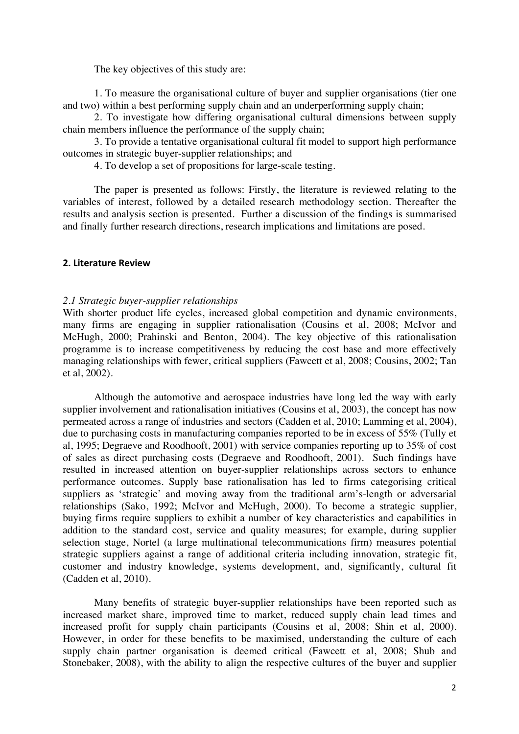The key objectives of this study are:

1. To measure the organisational culture of buyer and supplier organisations (tier one and two) within a best performing supply chain and an underperforming supply chain;

2. To investigate how differing organisational cultural dimensions between supply chain members influence the performance of the supply chain;

3. To provide a tentative organisational cultural fit model to support high performance outcomes in strategic buyer-supplier relationships; and

4. To develop a set of propositions for large-scale testing.

The paper is presented as follows: Firstly, the literature is reviewed relating to the variables of interest, followed by a detailed research methodology section. Thereafter the results and analysis section is presented. Further a discussion of the findings is summarised and finally further research directions, research implications and limitations are posed.

#### **2. Literature Review**

#### *2.1 Strategic buyer-supplier relationships*

With shorter product life cycles, increased global competition and dynamic environments, many firms are engaging in supplier rationalisation (Cousins et al, 2008; McIvor and McHugh, 2000; Prahinski and Benton, 2004). The key objective of this rationalisation programme is to increase competitiveness by reducing the cost base and more effectively managing relationships with fewer, critical suppliers (Fawcett et al, 2008; Cousins, 2002; Tan et al, 2002).

Although the automotive and aerospace industries have long led the way with early supplier involvement and rationalisation initiatives (Cousins et al, 2003), the concept has now permeated across a range of industries and sectors (Cadden et al, 2010; Lamming et al, 2004), due to purchasing costs in manufacturing companies reported to be in excess of 55% (Tully et al, 1995; Degraeve and Roodhooft, 2001) with service companies reporting up to 35% of cost of sales as direct purchasing costs (Degraeve and Roodhooft, 2001). Such findings have resulted in increased attention on buyer-supplier relationships across sectors to enhance performance outcomes. Supply base rationalisation has led to firms categorising critical suppliers as 'strategic' and moving away from the traditional arm's-length or adversarial relationships (Sako, 1992; McIvor and McHugh, 2000). To become a strategic supplier, buying firms require suppliers to exhibit a number of key characteristics and capabilities in addition to the standard cost, service and quality measures; for example, during supplier selection stage, Nortel (a large multinational telecommunications firm) measures potential strategic suppliers against a range of additional criteria including innovation, strategic fit, customer and industry knowledge, systems development, and, significantly, cultural fit (Cadden et al, 2010).

Many benefits of strategic buyer-supplier relationships have been reported such as increased market share, improved time to market, reduced supply chain lead times and increased profit for supply chain participants (Cousins et al, 2008; Shin et al, 2000). However, in order for these benefits to be maximised, understanding the culture of each supply chain partner organisation is deemed critical (Fawcett et al, 2008; Shub and Stonebaker, 2008), with the ability to align the respective cultures of the buyer and supplier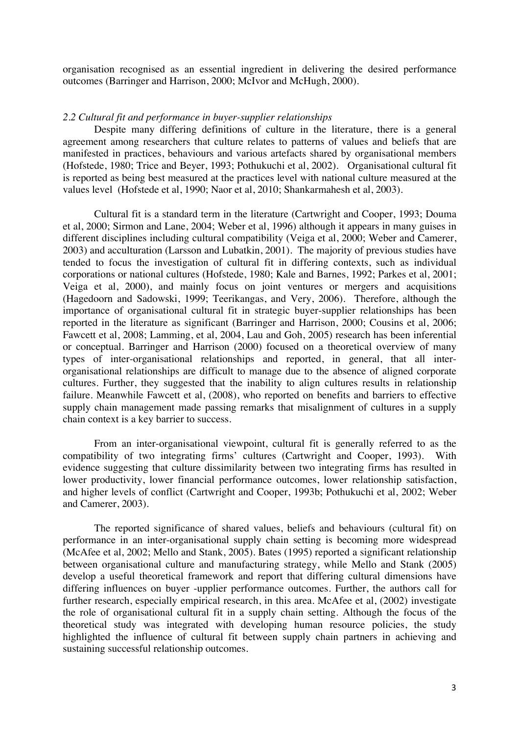organisation recognised as an essential ingredient in delivering the desired performance outcomes (Barringer and Harrison, 2000; McIvor and McHugh, 2000).

#### *2.2 Cultural fit and performance in buyer-supplier relationships*

Despite many differing definitions of culture in the literature, there is a general agreement among researchers that culture relates to patterns of values and beliefs that are manifested in practices, behaviours and various artefacts shared by organisational members (Hofstede, 1980; Trice and Beyer, 1993; Pothukuchi et al, 2002). Organisational cultural fit is reported as being best measured at the practices level with national culture measured at the values level (Hofstede et al, 1990; Naor et al, 2010; Shankarmahesh et al, 2003).

Cultural fit is a standard term in the literature (Cartwright and Cooper, 1993; Douma et al, 2000; Sirmon and Lane, 2004; Weber et al, 1996) although it appears in many guises in different disciplines including cultural compatibility (Veiga et al, 2000; Weber and Camerer, 2003) and acculturation (Larsson and Lubatkin, 2001). The majority of previous studies have tended to focus the investigation of cultural fit in differing contexts, such as individual corporations or national cultures (Hofstede, 1980; Kale and Barnes, 1992; Parkes et al, 2001; Veiga et al, 2000), and mainly focus on joint ventures or mergers and acquisitions (Hagedoorn and Sadowski, 1999; Teerikangas, and Very, 2006). Therefore, although the importance of organisational cultural fit in strategic buyer-supplier relationships has been reported in the literature as significant (Barringer and Harrison, 2000; Cousins et al, 2006; Fawcett et al, 2008; Lamming, et al, 2004, Lau and Goh, 2005) research has been inferential or conceptual. Barringer and Harrison (2000) focused on a theoretical overview of many types of inter-organisational relationships and reported, in general, that all interorganisational relationships are difficult to manage due to the absence of aligned corporate cultures. Further, they suggested that the inability to align cultures results in relationship failure. Meanwhile Fawcett et al, (2008), who reported on benefits and barriers to effective supply chain management made passing remarks that misalignment of cultures in a supply chain context is a key barrier to success.

From an inter-organisational viewpoint, cultural fit is generally referred to as the compatibility of two integrating firms' cultures (Cartwright and Cooper, 1993). With evidence suggesting that culture dissimilarity between two integrating firms has resulted in lower productivity, lower financial performance outcomes, lower relationship satisfaction, and higher levels of conflict (Cartwright and Cooper, 1993b; Pothukuchi et al, 2002; Weber and Camerer, 2003).

The reported significance of shared values, beliefs and behaviours (cultural fit) on performance in an inter-organisational supply chain setting is becoming more widespread (McAfee et al, 2002; Mello and Stank, 2005). Bates (1995) reported a significant relationship between organisational culture and manufacturing strategy, while Mello and Stank (2005) develop a useful theoretical framework and report that differing cultural dimensions have differing influences on buyer -upplier performance outcomes. Further, the authors call for further research, especially empirical research, in this area. McAfee et al, (2002) investigate the role of organisational cultural fit in a supply chain setting. Although the focus of the theoretical study was integrated with developing human resource policies, the study highlighted the influence of cultural fit between supply chain partners in achieving and sustaining successful relationship outcomes.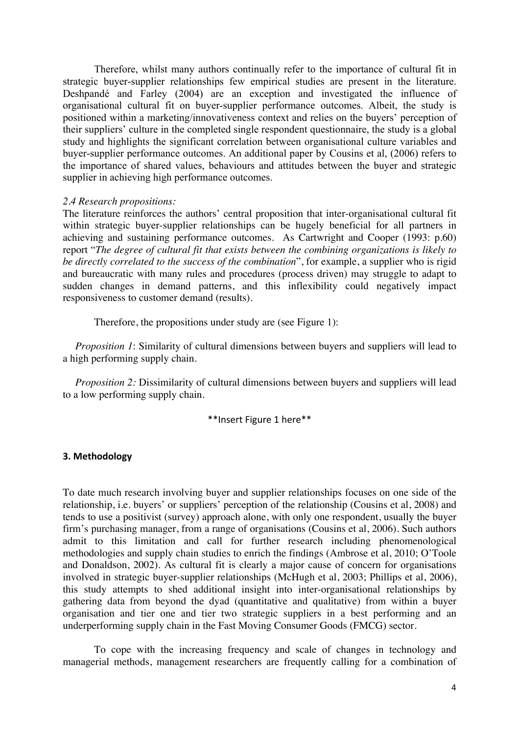Therefore, whilst many authors continually refer to the importance of cultural fit in strategic buyer-supplier relationships few empirical studies are present in the literature. Deshpandé and Farley (2004) are an exception and investigated the influence of organisational cultural fit on buyer-supplier performance outcomes. Albeit, the study is positioned within a marketing/innovativeness context and relies on the buyers' perception of their suppliers' culture in the completed single respondent questionnaire, the study is a global study and highlights the significant correlation between organisational culture variables and buyer-supplier performance outcomes. An additional paper by Cousins et al, (2006) refers to the importance of shared values, behaviours and attitudes between the buyer and strategic supplier in achieving high performance outcomes.

#### *2.4 Research propositions:*

The literature reinforces the authors' central proposition that inter-organisational cultural fit within strategic buyer-supplier relationships can be hugely beneficial for all partners in achieving and sustaining performance outcomes. As Cartwright and Cooper (1993: p.60) report "*The degree of cultural fit that exists between the combining organizations is likely to be directly correlated to the success of the combination*", for example, a supplier who is rigid and bureaucratic with many rules and procedures (process driven) may struggle to adapt to sudden changes in demand patterns, and this inflexibility could negatively impact responsiveness to customer demand (results).

Therefore, the propositions under study are (see Figure 1):

*Proposition 1*: Similarity of cultural dimensions between buyers and suppliers will lead to a high performing supply chain.

*Proposition 2:* Dissimilarity of cultural dimensions between buyers and suppliers will lead to a low performing supply chain.

\*\*Insert Figure 1 here\*\*

#### **3. Methodology**

To date much research involving buyer and supplier relationships focuses on one side of the relationship, i.e. buyers' or suppliers' perception of the relationship (Cousins et al, 2008) and tends to use a positivist (survey) approach alone, with only one respondent, usually the buyer firm's purchasing manager, from a range of organisations (Cousins et al, 2006). Such authors admit to this limitation and call for further research including phenomenological methodologies and supply chain studies to enrich the findings (Ambrose et al, 2010; O'Toole and Donaldson, 2002). As cultural fit is clearly a major cause of concern for organisations involved in strategic buyer-supplier relationships (McHugh et al, 2003; Phillips et al, 2006), this study attempts to shed additional insight into inter-organisational relationships by gathering data from beyond the dyad (quantitative and qualitative) from within a buyer organisation and tier one and tier two strategic suppliers in a best performing and an underperforming supply chain in the Fast Moving Consumer Goods (FMCG) sector.

To cope with the increasing frequency and scale of changes in technology and managerial methods, management researchers are frequently calling for a combination of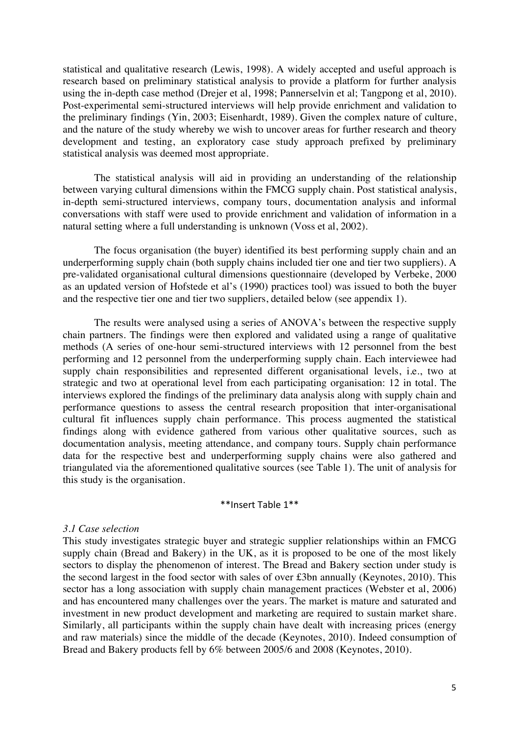statistical and qualitative research (Lewis, 1998). A widely accepted and useful approach is research based on preliminary statistical analysis to provide a platform for further analysis using the in-depth case method (Drejer et al, 1998; Pannerselvin et al; Tangpong et al, 2010). Post-experimental semi-structured interviews will help provide enrichment and validation to the preliminary findings (Yin, 2003; Eisenhardt, 1989). Given the complex nature of culture, and the nature of the study whereby we wish to uncover areas for further research and theory development and testing, an exploratory case study approach prefixed by preliminary statistical analysis was deemed most appropriate.

The statistical analysis will aid in providing an understanding of the relationship between varying cultural dimensions within the FMCG supply chain. Post statistical analysis, in-depth semi-structured interviews, company tours, documentation analysis and informal conversations with staff were used to provide enrichment and validation of information in a natural setting where a full understanding is unknown (Voss et al, 2002).

The focus organisation (the buyer) identified its best performing supply chain and an underperforming supply chain (both supply chains included tier one and tier two suppliers). A pre-validated organisational cultural dimensions questionnaire (developed by Verbeke, 2000 as an updated version of Hofstede et al's (1990) practices tool) was issued to both the buyer and the respective tier one and tier two suppliers, detailed below (see appendix 1).

The results were analysed using a series of ANOVA's between the respective supply chain partners. The findings were then explored and validated using a range of qualitative methods (A series of one-hour semi-structured interviews with 12 personnel from the best performing and 12 personnel from the underperforming supply chain. Each interviewee had supply chain responsibilities and represented different organisational levels, i.e., two at strategic and two at operational level from each participating organisation: 12 in total. The interviews explored the findings of the preliminary data analysis along with supply chain and performance questions to assess the central research proposition that inter-organisational cultural fit influences supply chain performance. This process augmented the statistical findings along with evidence gathered from various other qualitative sources, such as documentation analysis, meeting attendance, and company tours. Supply chain performance data for the respective best and underperforming supply chains were also gathered and triangulated via the aforementioned qualitative sources (see Table 1). The unit of analysis for this study is the organisation.

#### \*\*Insert Table 1\*\*

#### *3.1 Case selection*

This study investigates strategic buyer and strategic supplier relationships within an FMCG supply chain (Bread and Bakery) in the UK, as it is proposed to be one of the most likely sectors to display the phenomenon of interest. The Bread and Bakery section under study is the second largest in the food sector with sales of over £3bn annually (Keynotes, 2010). This sector has a long association with supply chain management practices (Webster et al, 2006) and has encountered many challenges over the years. The market is mature and saturated and investment in new product development and marketing are required to sustain market share. Similarly, all participants within the supply chain have dealt with increasing prices (energy and raw materials) since the middle of the decade (Keynotes, 2010). Indeed consumption of Bread and Bakery products fell by 6% between 2005/6 and 2008 (Keynotes, 2010).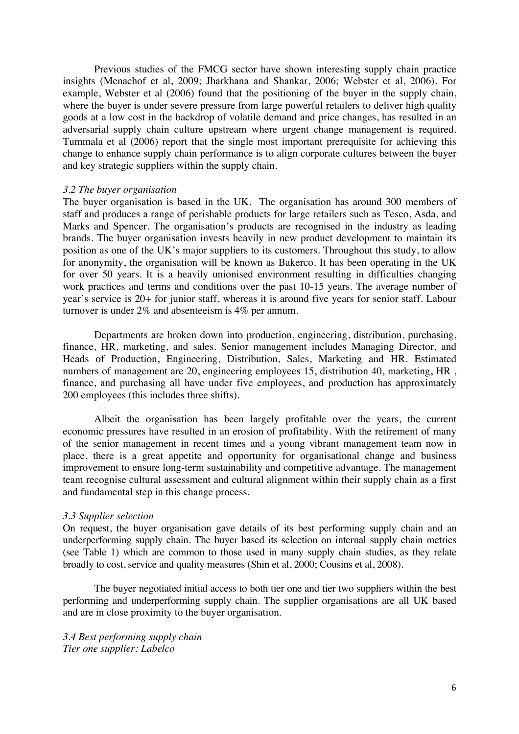Previous studies of the FMCG sector have shown interesting supply chain practice insights (Menachof et al, 2009; Jharkhana and Shankar, 2006; Webster et al, 2006). For example, Webster et al (2006) found that the positioning of the buyer in the supply chain, where the buyer is under severe pressure from large powerful retailers to deliver high quality goods at a low cost in the backdrop of volatile demand and price changes, has resulted in an adversarial supply chain culture upstream where urgent change management is required. Tummala et al (2006) report that the single most important prerequisite for achieving this change to enhance supply chain performance is to align corporate cultures between the buyer and key strategic suppliers within the supply chain.

#### *3.2 The buyer organisation*

The buyer organisation is based in the UK. The organisation has around 300 members of staff and produces a range of perishable products for large retailers such as Tesco, Asda, and Marks and Spencer. The organisation's products are recognised in the industry as leading brands. The buyer organisation invests heavily in new product development to maintain its position as one of the UK's major suppliers to its customers. Throughout this study, to allow for anonymity, the organisation will be known as Bakerco. It has been operating in the UK for over 50 years. It is a heavily unionised environment resulting in difficulties changing work practices and terms and conditions over the past 10-15 years. The average number of year's service is 20+ for junior staff, whereas it is around five years for senior staff. Labour turnover is under 2% and absenteeism is 4% per annum.

Departments are broken down into production, engineering, distribution, purchasing, finance, HR, marketing, and sales. Senior management includes Managing Director, and Heads of Production, Engineering, Distribution, Sales, Marketing and HR. Estimated numbers of management are 20, engineering employees 15, distribution 40, marketing, HR , finance, and purchasing all have under five employees, and production has approximately 200 employees (this includes three shifts).

Albeit the organisation has been largely profitable over the years, the current economic pressures have resulted in an erosion of profitability. With the retirement of many of the senior management in recent times and a young vibrant management team now in place, there is a great appetite and opportunity for organisational change and business improvement to ensure long-term sustainability and competitive advantage. The management team recognise cultural assessment and cultural alignment within their supply chain as a first and fundamental step in this change process.

#### *3.3 Supplier selection*

On request, the buyer organisation gave details of its best performing supply chain and an underperforming supply chain. The buyer based its selection on internal supply chain metrics (see Table 1) which are common to those used in many supply chain studies, as they relate broadly to cost, service and quality measures (Shin et al, 2000; Cousins et al, 2008).

The buyer negotiated initial access to both tier one and tier two suppliers within the best performing and underperforming supply chain. The supplier organisations are all UK based and are in close proximity to the buyer organisation.

*3.4 Best performing supply chain Tier one supplier: Labelco*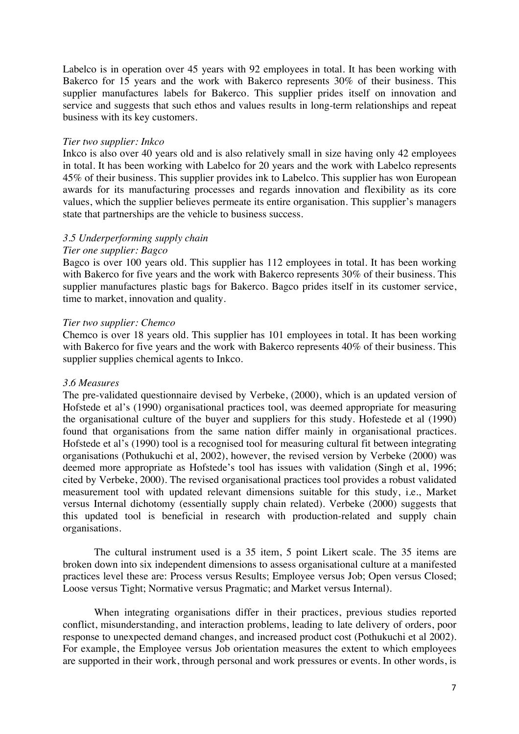Labelco is in operation over 45 years with 92 employees in total. It has been working with Bakerco for 15 years and the work with Bakerco represents 30% of their business. This supplier manufactures labels for Bakerco. This supplier prides itself on innovation and service and suggests that such ethos and values results in long-term relationships and repeat business with its key customers.

#### *Tier two supplier: Inkco*

Inkco is also over 40 years old and is also relatively small in size having only 42 employees in total. It has been working with Labelco for 20 years and the work with Labelco represents 45% of their business. This supplier provides ink to Labelco. This supplier has won European awards for its manufacturing processes and regards innovation and flexibility as its core values, which the supplier believes permeate its entire organisation. This supplier's managers state that partnerships are the vehicle to business success.

#### *3.5 Underperforming supply chain*

#### *Tier one supplier: Bagco*

Bagco is over 100 years old. This supplier has 112 employees in total. It has been working with Bakerco for five years and the work with Bakerco represents 30% of their business. This supplier manufactures plastic bags for Bakerco. Bagco prides itself in its customer service, time to market, innovation and quality.

#### *Tier two supplier: Chemco*

Chemco is over 18 years old. This supplier has 101 employees in total. It has been working with Bakerco for five years and the work with Bakerco represents 40% of their business. This supplier supplies chemical agents to Inkco.

## *3.6 Measures*

The pre-validated questionnaire devised by Verbeke, (2000), which is an updated version of Hofstede et al's (1990) organisational practices tool, was deemed appropriate for measuring the organisational culture of the buyer and suppliers for this study. Hofestede et al (1990) found that organisations from the same nation differ mainly in organisational practices. Hofstede et al's (1990) tool is a recognised tool for measuring cultural fit between integrating organisations (Pothukuchi et al, 2002), however, the revised version by Verbeke (2000) was deemed more appropriate as Hofstede's tool has issues with validation (Singh et al, 1996; cited by Verbeke, 2000). The revised organisational practices tool provides a robust validated measurement tool with updated relevant dimensions suitable for this study, i.e., Market versus Internal dichotomy (essentially supply chain related). Verbeke (2000) suggests that this updated tool is beneficial in research with production-related and supply chain organisations.

The cultural instrument used is a 35 item, 5 point Likert scale. The 35 items are broken down into six independent dimensions to assess organisational culture at a manifested practices level these are: Process versus Results; Employee versus Job; Open versus Closed; Loose versus Tight; Normative versus Pragmatic; and Market versus Internal).

When integrating organisations differ in their practices, previous studies reported conflict, misunderstanding, and interaction problems, leading to late delivery of orders, poor response to unexpected demand changes, and increased product cost (Pothukuchi et al 2002). For example, the Employee versus Job orientation measures the extent to which employees are supported in their work, through personal and work pressures or events. In other words, is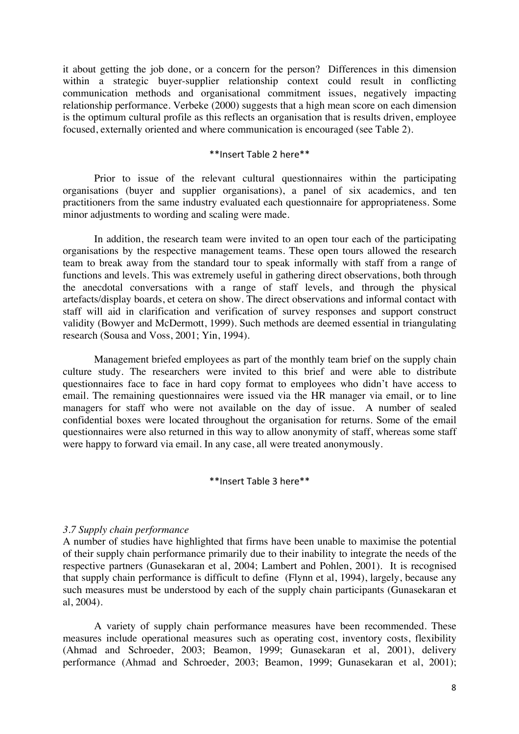it about getting the job done, or a concern for the person? Differences in this dimension within a strategic buyer-supplier relationship context could result in conflicting communication methods and organisational commitment issues, negatively impacting relationship performance. Verbeke (2000) suggests that a high mean score on each dimension is the optimum cultural profile as this reflects an organisation that is results driven, employee focused, externally oriented and where communication is encouraged (see Table 2).

#### \*\*Insert Table 2 here\*\*

Prior to issue of the relevant cultural questionnaires within the participating organisations (buyer and supplier organisations), a panel of six academics, and ten practitioners from the same industry evaluated each questionnaire for appropriateness. Some minor adjustments to wording and scaling were made.

In addition, the research team were invited to an open tour each of the participating organisations by the respective management teams. These open tours allowed the research team to break away from the standard tour to speak informally with staff from a range of functions and levels. This was extremely useful in gathering direct observations, both through the anecdotal conversations with a range of staff levels, and through the physical artefacts/display boards, et cetera on show. The direct observations and informal contact with staff will aid in clarification and verification of survey responses and support construct validity (Bowyer and McDermott, 1999). Such methods are deemed essential in triangulating research (Sousa and Voss, 2001; Yin, 1994).

Management briefed employees as part of the monthly team brief on the supply chain culture study. The researchers were invited to this brief and were able to distribute questionnaires face to face in hard copy format to employees who didn't have access to email. The remaining questionnaires were issued via the HR manager via email, or to line managers for staff who were not available on the day of issue. A number of sealed confidential boxes were located throughout the organisation for returns. Some of the email questionnaires were also returned in this way to allow anonymity of staff, whereas some staff were happy to forward via email. In any case, all were treated anonymously.

#### \*\*Insert Table 3 here\*\*

#### *3.7 Supply chain performance*

A number of studies have highlighted that firms have been unable to maximise the potential of their supply chain performance primarily due to their inability to integrate the needs of the respective partners (Gunasekaran et al, 2004; Lambert and Pohlen, 2001). It is recognised that supply chain performance is difficult to define (Flynn et al, 1994), largely, because any such measures must be understood by each of the supply chain participants (Gunasekaran et al, 2004).

A variety of supply chain performance measures have been recommended. These measures include operational measures such as operating cost, inventory costs, flexibility (Ahmad and Schroeder, 2003; Beamon, 1999; Gunasekaran et al, 2001), delivery performance (Ahmad and Schroeder, 2003; Beamon, 1999; Gunasekaran et al, 2001);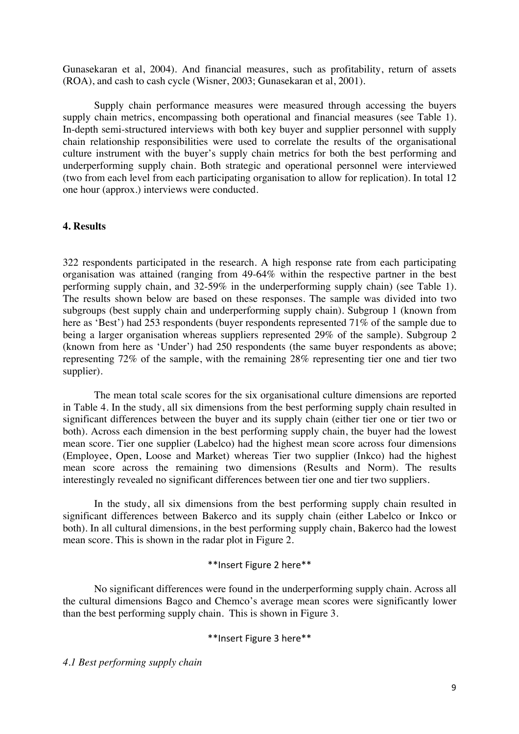Gunasekaran et al, 2004). And financial measures, such as profitability, return of assets (ROA), and cash to cash cycle (Wisner, 2003; Gunasekaran et al, 2001).

Supply chain performance measures were measured through accessing the buyers supply chain metrics, encompassing both operational and financial measures (see Table 1). In-depth semi-structured interviews with both key buyer and supplier personnel with supply chain relationship responsibilities were used to correlate the results of the organisational culture instrument with the buyer's supply chain metrics for both the best performing and underperforming supply chain. Both strategic and operational personnel were interviewed (two from each level from each participating organisation to allow for replication). In total 12 one hour (approx.) interviews were conducted.

#### **4. Results**

322 respondents participated in the research. A high response rate from each participating organisation was attained (ranging from 49-64% within the respective partner in the best performing supply chain, and 32-59% in the underperforming supply chain) (see Table 1). The results shown below are based on these responses. The sample was divided into two subgroups (best supply chain and underperforming supply chain). Subgroup 1 (known from here as 'Best') had 253 respondents (buyer respondents represented 71% of the sample due to being a larger organisation whereas suppliers represented 29% of the sample). Subgroup 2 (known from here as 'Under') had 250 respondents (the same buyer respondents as above; representing 72% of the sample, with the remaining 28% representing tier one and tier two supplier).

The mean total scale scores for the six organisational culture dimensions are reported in Table 4. In the study, all six dimensions from the best performing supply chain resulted in significant differences between the buyer and its supply chain (either tier one or tier two or both). Across each dimension in the best performing supply chain, the buyer had the lowest mean score. Tier one supplier (Labelco) had the highest mean score across four dimensions (Employee, Open, Loose and Market) whereas Tier two supplier (Inkco) had the highest mean score across the remaining two dimensions (Results and Norm). The results interestingly revealed no significant differences between tier one and tier two suppliers.

In the study, all six dimensions from the best performing supply chain resulted in significant differences between Bakerco and its supply chain (either Labelco or Inkco or both). In all cultural dimensions, in the best performing supply chain, Bakerco had the lowest mean score. This is shown in the radar plot in Figure 2.

#### \*\*Insert Figure 2 here\*\*

No significant differences were found in the underperforming supply chain. Across all the cultural dimensions Bagco and Chemco's average mean scores were significantly lower than the best performing supply chain. This is shown in Figure 3.

## \*\*Insert Figure 3 here\*\*

*4.1 Best performing supply chain*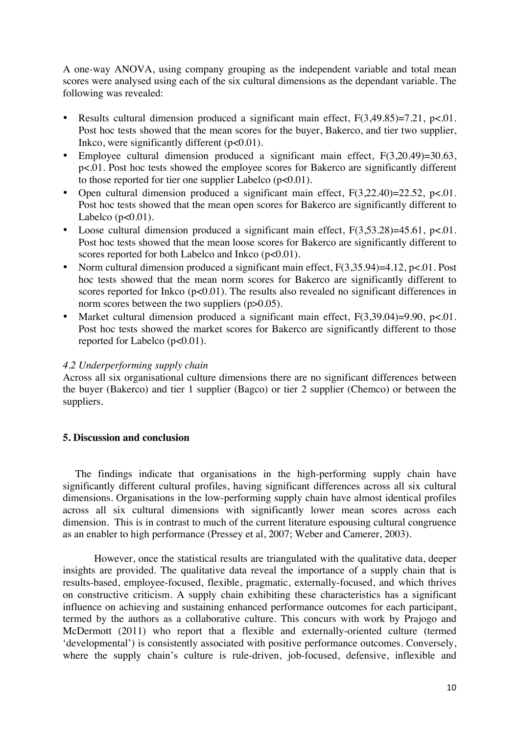A one-way ANOVA, using company grouping as the independent variable and total mean scores were analysed using each of the six cultural dimensions as the dependant variable. The following was revealed:

- Results cultural dimension produced a significant main effect,  $F(3,49.85)=7.21$ ,  $p<.01$ . Post hoc tests showed that the mean scores for the buyer, Bakerco, and tier two supplier, Inkco, were significantly different  $(p<0.01)$ .
- Employee cultural dimension produced a significant main effect, F(3,20.49)=30.63, p<.01. Post hoc tests showed the employee scores for Bakerco are significantly different to those reported for tier one supplier Labelco  $(p<0.01)$ .
- Open cultural dimension produced a significant main effect,  $F(3,22.40) = 22.52$ ,  $p < 01$ . Post hoc tests showed that the mean open scores for Bakerco are significantly different to Labelco  $(p<0.01)$ .
- Loose cultural dimension produced a significant main effect,  $F(3,53.28)=45.61$ ,  $p<.01$ . Post hoc tests showed that the mean loose scores for Bakerco are significantly different to scores reported for both Labelco and Inkco (p<0.01).
- Norm cultural dimension produced a significant main effect,  $F(3,35.94)=4.12$ , p<.01. Post hoc tests showed that the mean norm scores for Bakerco are significantly different to scores reported for Inkco  $(p<0.01)$ . The results also revealed no significant differences in norm scores between the two suppliers (p>0.05).
- Market cultural dimension produced a significant main effect,  $F(3,39.04)=9.90$ ,  $p<.01$ . Post hoc tests showed the market scores for Bakerco are significantly different to those reported for Labelco (p<0.01).

#### *4.2 Underperforming supply chain*

Across all six organisational culture dimensions there are no significant differences between the buyer (Bakerco) and tier 1 supplier (Bagco) or tier 2 supplier (Chemco) or between the suppliers.

#### **5. Discussion and conclusion**

The findings indicate that organisations in the high-performing supply chain have significantly different cultural profiles, having significant differences across all six cultural dimensions. Organisations in the low-performing supply chain have almost identical profiles across all six cultural dimensions with significantly lower mean scores across each dimension. This is in contrast to much of the current literature espousing cultural congruence as an enabler to high performance (Pressey et al, 2007; Weber and Camerer, 2003).

However, once the statistical results are triangulated with the qualitative data, deeper insights are provided. The qualitative data reveal the importance of a supply chain that is results-based, employee-focused, flexible, pragmatic, externally-focused, and which thrives on constructive criticism. A supply chain exhibiting these characteristics has a significant influence on achieving and sustaining enhanced performance outcomes for each participant, termed by the authors as a collaborative culture. This concurs with work by Prajogo and McDermott (2011) who report that a flexible and externally-oriented culture (termed 'developmental') is consistently associated with positive performance outcomes. Conversely, where the supply chain's culture is rule-driven, job-focused, defensive, inflexible and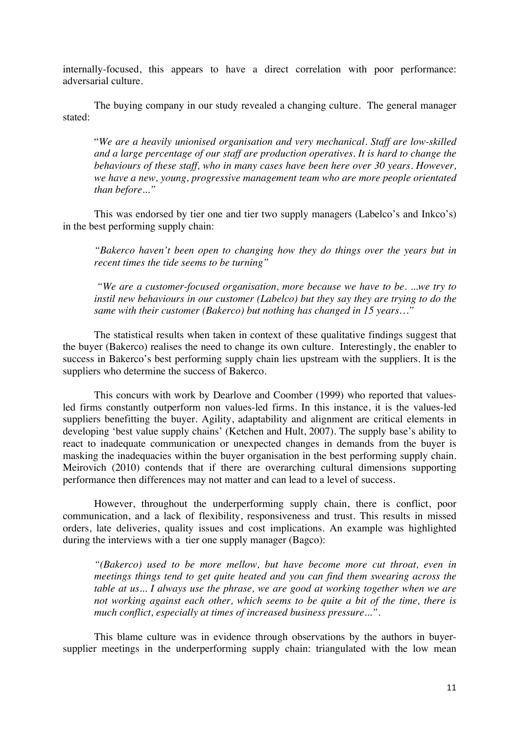internally-focused, this appears to have a direct correlation with poor performance: adversarial culture.

The buying company in our study revealed a changing culture. The general manager stated:

"*We are a heavily unionised organisation and very mechanical. Staff are low-skilled and a large percentage of our staff are production operatives. It is hard to change the behaviours of these staff, who in many cases have been here over 30 years. However, we have a new, young, progressive management team who are more people orientated than before..."* 

This was endorsed by tier one and tier two supply managers (Labelco's and Inkco's) in the best performing supply chain:

*"Bakerco haven't been open to changing how they do things over the years but in recent times the tide seems to be turning"* 

*"We are a customer-focused organisation, more because we have to be. ...we try to instil new behaviours in our customer (Labelco) but they say they are trying to do the same with their customer (Bakerco) but nothing has changed in 15 years…"* 

The statistical results when taken in context of these qualitative findings suggest that the buyer (Bakerco) realises the need to change its own culture. Interestingly, the enabler to success in Bakerco's best performing supply chain lies upstream with the suppliers. It is the suppliers who determine the success of Bakerco.

This concurs with work by Dearlove and Coomber (1999) who reported that valuesled firms constantly outperform non values-led firms. In this instance, it is the values-led suppliers benefitting the buyer. Agility, adaptability and alignment are critical elements in developing 'best value supply chains' (Ketchen and Hult, 2007). The supply base's ability to react to inadequate communication or unexpected changes in demands from the buyer is masking the inadequacies within the buyer organisation in the best performing supply chain. Meirovich (2010) contends that if there are overarching cultural dimensions supporting performance then differences may not matter and can lead to a level of success.

However, throughout the underperforming supply chain, there is conflict, poor communication, and a lack of flexibility, responsiveness and trust. This results in missed orders, late deliveries, quality issues and cost implications. An example was highlighted during the interviews with a tier one supply manager (Bagco):

*"(Bakerco) used to be more mellow, but have become more cut throat, even in meetings things tend to get quite heated and you can find them swearing across the table at us... I always use the phrase, we are good at working together when we are not working against each other, which seems to be quite a bit of the time, there is much conflict, especially at times of increased business pressure...".* 

This blame culture was in evidence through observations by the authors in buyersupplier meetings in the underperforming supply chain: triangulated with the low mean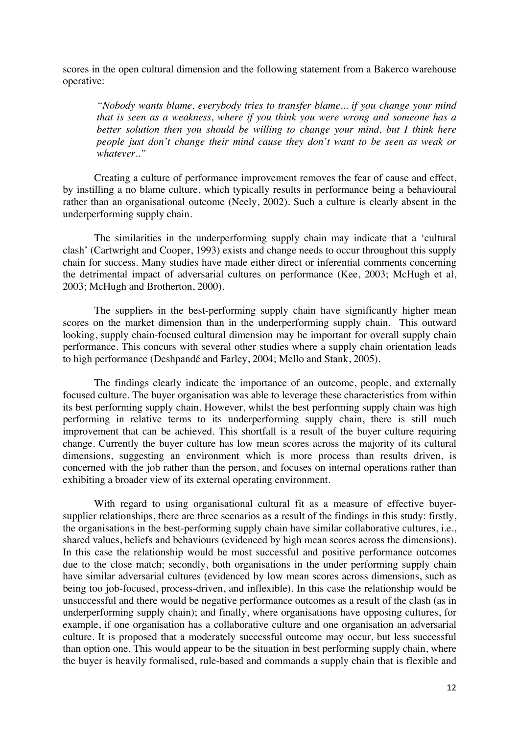scores in the open cultural dimension and the following statement from a Bakerco warehouse operative:

*"Nobody wants blame, everybody tries to transfer blame... if you change your mind that is seen as a weakness, where if you think you were wrong and someone has a better solution then you should be willing to change your mind, but I think here people just don't change their mind cause they don't want to be seen as weak or whatever.."* 

Creating a culture of performance improvement removes the fear of cause and effect, by instilling a no blame culture, which typically results in performance being a behavioural rather than an organisational outcome (Neely, 2002). Such a culture is clearly absent in the underperforming supply chain.

The similarities in the underperforming supply chain may indicate that a 'cultural clash' (Cartwright and Cooper, 1993) exists and change needs to occur throughout this supply chain for success. Many studies have made either direct or inferential comments concerning the detrimental impact of adversarial cultures on performance (Kee, 2003; McHugh et al, 2003; McHugh and Brotherton, 2000).

The suppliers in the best-performing supply chain have significantly higher mean scores on the market dimension than in the underperforming supply chain. This outward looking, supply chain-focused cultural dimension may be important for overall supply chain performance. This concurs with several other studies where a supply chain orientation leads to high performance (Deshpandé and Farley, 2004; Mello and Stank, 2005).

The findings clearly indicate the importance of an outcome, people, and externally focused culture. The buyer organisation was able to leverage these characteristics from within its best performing supply chain. However, whilst the best performing supply chain was high performing in relative terms to its underperforming supply chain, there is still much improvement that can be achieved. This shortfall is a result of the buyer culture requiring change. Currently the buyer culture has low mean scores across the majority of its cultural dimensions, suggesting an environment which is more process than results driven, is concerned with the job rather than the person, and focuses on internal operations rather than exhibiting a broader view of its external operating environment.

With regard to using organisational cultural fit as a measure of effective buyersupplier relationships, there are three scenarios as a result of the findings in this study: firstly, the organisations in the best-performing supply chain have similar collaborative cultures, i.e., shared values, beliefs and behaviours (evidenced by high mean scores across the dimensions). In this case the relationship would be most successful and positive performance outcomes due to the close match; secondly, both organisations in the under performing supply chain have similar adversarial cultures (evidenced by low mean scores across dimensions, such as being too job-focused, process-driven, and inflexible). In this case the relationship would be unsuccessful and there would be negative performance outcomes as a result of the clash (as in underperforming supply chain); and finally, where organisations have opposing cultures, for example, if one organisation has a collaborative culture and one organisation an adversarial culture. It is proposed that a moderately successful outcome may occur, but less successful than option one. This would appear to be the situation in best performing supply chain, where the buyer is heavily formalised, rule-based and commands a supply chain that is flexible and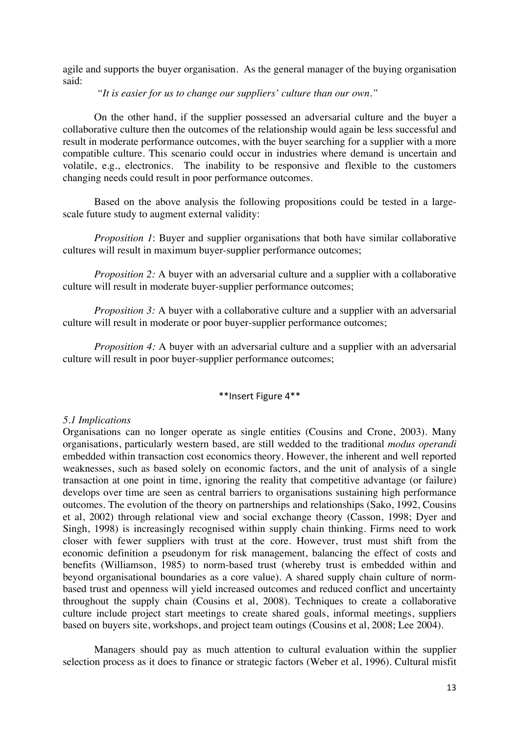agile and supports the buyer organisation. As the general manager of the buying organisation said:

*"It is easier for us to change our suppliers' culture than our own."* 

On the other hand, if the supplier possessed an adversarial culture and the buyer a collaborative culture then the outcomes of the relationship would again be less successful and result in moderate performance outcomes, with the buyer searching for a supplier with a more compatible culture. This scenario could occur in industries where demand is uncertain and volatile, e.g., electronics. The inability to be responsive and flexible to the customers changing needs could result in poor performance outcomes.

Based on the above analysis the following propositions could be tested in a largescale future study to augment external validity:

*Proposition 1*: Buyer and supplier organisations that both have similar collaborative cultures will result in maximum buyer-supplier performance outcomes;

*Proposition 2:* A buyer with an adversarial culture and a supplier with a collaborative culture will result in moderate buyer-supplier performance outcomes;

*Proposition 3:* A buyer with a collaborative culture and a supplier with an adversarial culture will result in moderate or poor buyer-supplier performance outcomes;

*Proposition 4:* A buyer with an adversarial culture and a supplier with an adversarial culture will result in poor buyer-supplier performance outcomes;

## \*\*Insert Figure 4\*\*

#### *5.1 Implications*

Organisations can no longer operate as single entities (Cousins and Crone, 2003). Many organisations, particularly western based, are still wedded to the traditional *modus operandi* embedded within transaction cost economics theory. However, the inherent and well reported weaknesses, such as based solely on economic factors, and the unit of analysis of a single transaction at one point in time, ignoring the reality that competitive advantage (or failure) develops over time are seen as central barriers to organisations sustaining high performance outcomes. The evolution of the theory on partnerships and relationships (Sako, 1992, Cousins et al, 2002) through relational view and social exchange theory (Casson, 1998; Dyer and Singh, 1998) is increasingly recognised within supply chain thinking. Firms need to work closer with fewer suppliers with trust at the core. However, trust must shift from the economic definition a pseudonym for risk management, balancing the effect of costs and benefits (Williamson, 1985) to norm-based trust (whereby trust is embedded within and beyond organisational boundaries as a core value). A shared supply chain culture of normbased trust and openness will yield increased outcomes and reduced conflict and uncertainty throughout the supply chain (Cousins et al, 2008). Techniques to create a collaborative culture include project start meetings to create shared goals, informal meetings, suppliers based on buyers site, workshops, and project team outings (Cousins et al, 2008; Lee 2004).

Managers should pay as much attention to cultural evaluation within the supplier selection process as it does to finance or strategic factors (Weber et al, 1996). Cultural misfit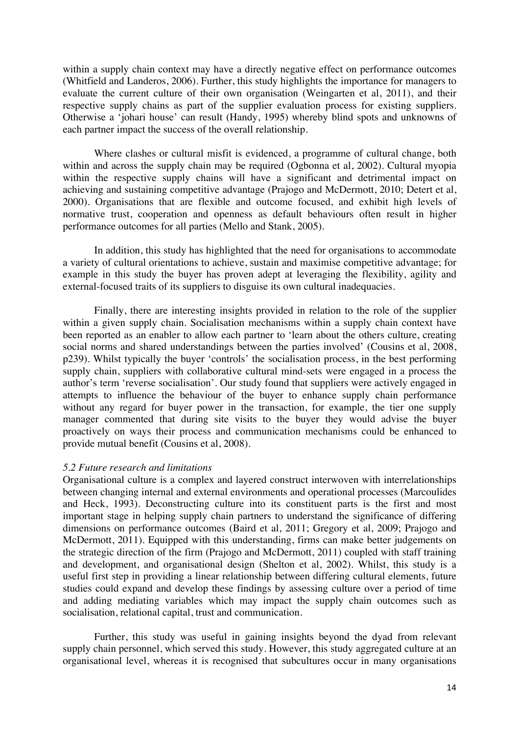within a supply chain context may have a directly negative effect on performance outcomes (Whitfield and Landeros, 2006). Further, this study highlights the importance for managers to evaluate the current culture of their own organisation (Weingarten et al, 2011), and their respective supply chains as part of the supplier evaluation process for existing suppliers. Otherwise a 'johari house' can result (Handy, 1995) whereby blind spots and unknowns of each partner impact the success of the overall relationship.

Where clashes or cultural misfit is evidenced, a programme of cultural change, both within and across the supply chain may be required (Ogbonna et al, 2002). Cultural myopia within the respective supply chains will have a significant and detrimental impact on achieving and sustaining competitive advantage (Prajogo and McDermott, 2010; Detert et al, 2000). Organisations that are flexible and outcome focused, and exhibit high levels of normative trust, cooperation and openness as default behaviours often result in higher performance outcomes for all parties (Mello and Stank, 2005).

In addition, this study has highlighted that the need for organisations to accommodate a variety of cultural orientations to achieve, sustain and maximise competitive advantage; for example in this study the buyer has proven adept at leveraging the flexibility, agility and external-focused traits of its suppliers to disguise its own cultural inadequacies.

Finally, there are interesting insights provided in relation to the role of the supplier within a given supply chain. Socialisation mechanisms within a supply chain context have been reported as an enabler to allow each partner to 'learn about the others culture, creating social norms and shared understandings between the parties involved' (Cousins et al, 2008, p239). Whilst typically the buyer 'controls' the socialisation process, in the best performing supply chain, suppliers with collaborative cultural mind-sets were engaged in a process the author's term 'reverse socialisation'. Our study found that suppliers were actively engaged in attempts to influence the behaviour of the buyer to enhance supply chain performance without any regard for buyer power in the transaction, for example, the tier one supply manager commented that during site visits to the buyer they would advise the buyer proactively on ways their process and communication mechanisms could be enhanced to provide mutual benefit (Cousins et al, 2008).

#### *5.2 Future research and limitations*

Organisational culture is a complex and layered construct interwoven with interrelationships between changing internal and external environments and operational processes (Marcoulides and Heck, 1993). Deconstructing culture into its constituent parts is the first and most important stage in helping supply chain partners to understand the significance of differing dimensions on performance outcomes (Baird et al, 2011; Gregory et al, 2009; Prajogo and McDermott, 2011). Equipped with this understanding, firms can make better judgements on the strategic direction of the firm (Prajogo and McDermott, 2011) coupled with staff training and development, and organisational design (Shelton et al, 2002). Whilst, this study is a useful first step in providing a linear relationship between differing cultural elements, future studies could expand and develop these findings by assessing culture over a period of time and adding mediating variables which may impact the supply chain outcomes such as socialisation, relational capital, trust and communication.

Further, this study was useful in gaining insights beyond the dyad from relevant supply chain personnel, which served this study. However, this study aggregated culture at an organisational level, whereas it is recognised that subcultures occur in many organisations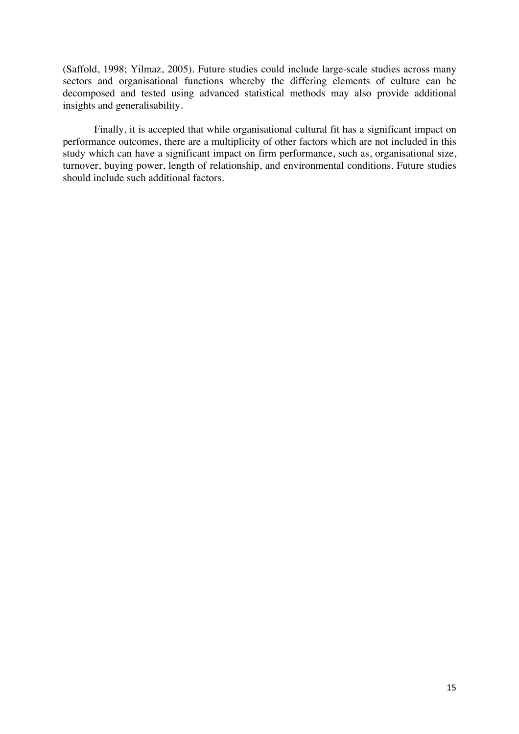(Saffold, 1998; Yilmaz, 2005). Future studies could include large-scale studies across many sectors and organisational functions whereby the differing elements of culture can be decomposed and tested using advanced statistical methods may also provide additional insights and generalisability.

Finally, it is accepted that while organisational cultural fit has a significant impact on performance outcomes, there are a multiplicity of other factors which are not included in this study which can have a significant impact on firm performance, such as, organisational size, turnover, buying power, length of relationship, and environmental conditions. Future studies should include such additional factors.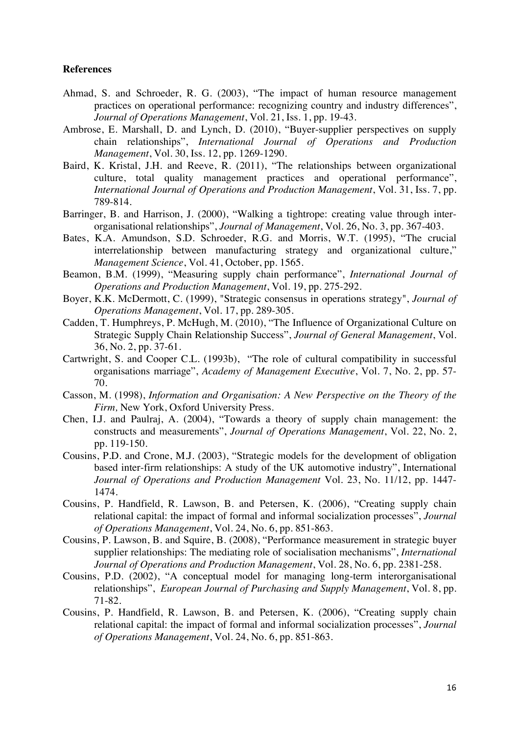## **References**

- Ahmad, S. and Schroeder, R. G. (2003), "The impact of human resource management practices on operational performance: recognizing country and industry differences", *Journal of Operations Management*, Vol. 21, Iss. 1, pp. 19-43.
- Ambrose, E. Marshall, D. and Lynch, D. (2010), "Buyer-supplier perspectives on supply chain relationships", *International Journal of Operations and Production Management*, Vol. 30, Iss. 12, pp. 1269-1290.
- Baird, K. Kristal, J.H. and Reeve, R. (2011), "The relationships between organizational culture, total quality management practices and operational performance", *International Journal of Operations and Production Management*, Vol. 31, Iss. 7, pp. 789-814.
- Barringer, B. and Harrison, J. (2000), "Walking a tightrope: creating value through interorganisational relationships", *Journal of Management*, Vol. 26, No. 3, pp. 367-403.
- Bates, K.A. Amundson, S.D. Schroeder, R.G. and Morris, W.T. (1995), "The crucial interrelationship between manufacturing strategy and organizational culture," *Management Science*, Vol. 41, October, pp. 1565.
- Beamon, B.M. (1999), "Measuring supply chain performance", *International Journal of Operations and Production Management*, Vol. 19, pp. 275-292.
- Boyer, K.K. McDermott, C. (1999), "Strategic consensus in operations strategy", *Journal of Operations Management*, Vol. 17, pp. 289-305.
- Cadden, T. Humphreys, P. McHugh, M. (2010), "The Influence of Organizational Culture on Strategic Supply Chain Relationship Success", *Journal of General Management*, Vol. 36, No. 2, pp. 37-61.
- Cartwright, S. and Cooper C.L. (1993b), "The role of cultural compatibility in successful organisations marriage", *Academy of Management Executive*, Vol. 7, No. 2, pp. 57- 70.
- Casson, M. (1998), *Information and Organisation: A New Perspective on the Theory of the Firm,* New York, Oxford University Press.
- Chen, I.J. and Paulraj, A. (2004), "Towards a theory of supply chain management: the constructs and measurements", *Journal of Operations Management*, Vol. 22, No. 2, pp. 119-150.
- Cousins, P.D. and Crone, M.J. (2003), "Strategic models for the development of obligation based inter-firm relationships: A study of the UK automotive industry", International *Journal of Operations and Production Management* Vol. 23, No. 11/12, pp. 1447- 1474.
- Cousins, P. Handfield, R. Lawson, B. and Petersen, K. (2006), "Creating supply chain relational capital: the impact of formal and informal socialization processes", *Journal of Operations Management*, Vol. 24, No. 6, pp. 851-863.
- Cousins, P. Lawson, B. and Squire, B. (2008), "Performance measurement in strategic buyer supplier relationships: The mediating role of socialisation mechanisms", *International Journal of Operations and Production Management*, Vol. 28, No. 6, pp. 2381-258.
- Cousins, P.D. (2002), "A conceptual model for managing long-term interorganisational relationships", *European Journal of Purchasing and Supply Management*, Vol. 8, pp. 71-82.
- Cousins, P. Handfield, R. Lawson, B. and Petersen, K. (2006), "Creating supply chain relational capital: the impact of formal and informal socialization processes", *Journal of Operations Management*, Vol. 24, No. 6, pp. 851-863.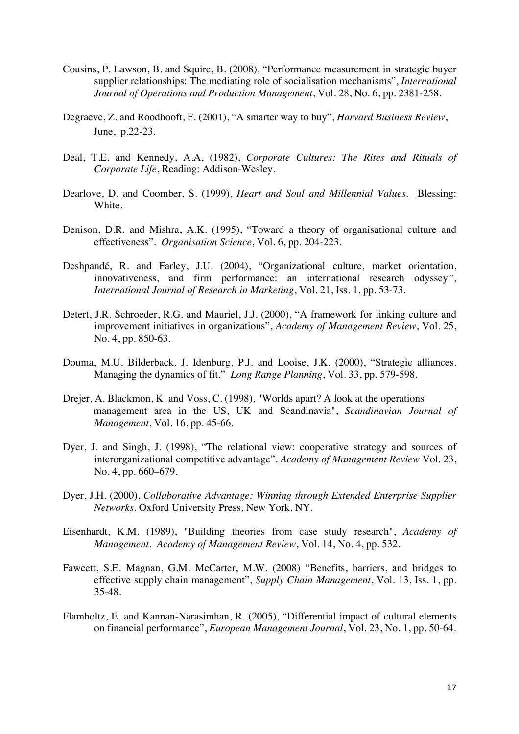- Cousins, P. Lawson, B. and Squire, B. (2008), "Performance measurement in strategic buyer supplier relationships: The mediating role of socialisation mechanisms", *International Journal of Operations and Production Management*, Vol. 28, No. 6, pp. 2381-258.
- Degraeve, Z. and Roodhooft, F. (2001), "A smarter way to buy", *Harvard Business Review*, June, p.22-23.
- Deal, T.E. and Kennedy, A.A, (1982), *Corporate Cultures: The Rites and Rituals of Corporate Life*, Reading: Addison-Wesley.
- Dearlove, D. and Coomber, S. (1999), *Heart and Soul and Millennial Values*. Blessing: White.
- Denison, D.R. and Mishra, A.K. (1995), "Toward a theory of organisational culture and effectiveness". *Organisation Science*, Vol. 6, pp. 204-223.
- Deshpandé, R. and Farley, J.U. (2004), "Organizational culture, market orientation, innovativeness, and firm performance: an international research odyssey*", International Journal of Research in Marketing*, Vol. 21, Iss. 1, pp. 53-73.
- Detert, J.R. Schroeder, R.G. and Mauriel, J.J. (2000), "A framework for linking culture and improvement initiatives in organizations", *Academy of Management Review*, Vol. 25, No. 4, pp. 850-63.
- Douma, M.U. Bilderback, J. Idenburg, P.J. and Looise, J.K. (2000), "Strategic alliances. Managing the dynamics of fit." *Long Range Planning*, Vol. 33, pp. 579-598.
- Drejer, A. Blackmon, K. and Voss, C. (1998), "Worlds apart? A look at the operations management area in the US, UK and Scandinavia", *Scandinavian Journal of Management*, Vol. 16, pp. 45-66.
- Dyer, J. and Singh, J. (1998), "The relational view: cooperative strategy and sources of interorganizational competitive advantage". *Academy of Management Review* Vol. 23, No. 4, pp. 660–679.
- Dyer, J.H. (2000), *Collaborative Advantage: Winning through Extended Enterprise Supplier Networks*. Oxford University Press, New York, NY.
- Eisenhardt, K.M. (1989), "Building theories from case study research", *Academy of Management*. *Academy of Management Review*, Vol. 14, No. 4, pp. 532.
- Fawcett, S.E. Magnan, G.M. McCarter, M.W. (2008) "Benefits, barriers, and bridges to effective supply chain management", *Supply Chain Management*, Vol. 13, Iss. 1, pp. 35-48.
- Flamholtz, E. and Kannan-Narasimhan, R. (2005), "Differential impact of cultural elements on financial performance", *European Management Journal*, Vol. 23, No. 1, pp. 50-64.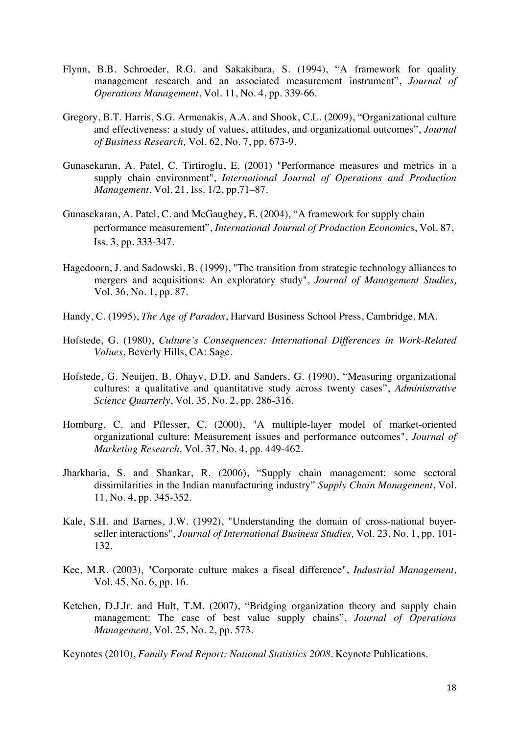- Flynn, B.B. Schroeder, R.G. and Sakakibara, S. (1994), "A framework for quality management research and an associated measurement instrument", *Journal of Operations Management*, Vol. 11, No. 4, pp. 339-66.
- Gregory, B.T. Harris, S.G. Armenakis, A.A. and Shook, C.L. (2009), "Organizational culture and effectiveness: a study of values, attitudes, and organizational outcomes", *Journal of Business Research,* Vol. 62, No. 7, pp. 673-9.
- Gunasekaran, A. Patel, C. Tirtiroglu, E. (2001) "Performance measures and metrics in a supply chain environment", *International Journal of Operations and Production Management*, Vol. 21, Iss. 1/2, pp.71–87.
- Gunasekaran, A. Patel, C. and McGaughey, E. (2004), "A framework for supply chain performance measurement", *International Journal of Production Economic*s, Vol. 87, Iss. 3, pp. 333-347.
- Hagedoorn, J. and Sadowski, B. (1999), "The transition from strategic technology alliances to mergers and acquisitions: An exploratory study", *Journal of Management Studies,*  Vol. 36, No. 1, pp. 87.
- Handy, C. (1995), *The Age of Paradox*, Harvard Business School Press, Cambridge, MA.
- Hofstede, G. (1980), *Culture's Consequences: International Differences in Work-Related Values*, Beverly Hills, CA: Sage.
- Hofstede, G. Neuijen, B. Ohayv, D.D. and Sanders, G. (1990), "Measuring organizational cultures: a qualitative and quantitative study across twenty cases", *Administrative Science Quarterly*, Vol. 35, No. 2, pp. 286-316.
- Homburg, C. and Pflesser, C. (2000), "A multiple-layer model of market-oriented organizational culture: Measurement issues and performance outcomes", *Journal of Marketing Research,* Vol. 37, No. 4, pp. 449-462.
- Jharkharia, S. and Shankar, R. (2006), "Supply chain management: some sectoral dissimilarities in the Indian manufacturing industry" *Supply Chain Management*, Vol. 11, No. 4, pp. 345-352.
- Kale, S.H. and Barnes, J.W. (1992), "Understanding the domain of cross-national buyerseller interactions", *Journal of International Business Studies,* Vol. 23, No. 1, pp. 101- 132.
- Kee, M.R. (2003), "Corporate culture makes a fiscal difference", *Industrial Management,*  Vol. 45, No. 6, pp. 16.
- Ketchen, D.J.Jr. and Hult, T.M. (2007), "Bridging organization theory and supply chain management: The case of best value supply chains", *Journal of Operations Management*, Vol. 25, No. 2, pp. 573.
- Keynotes (2010), *Family Food Report: National Statistics 2008*. Keynote Publications.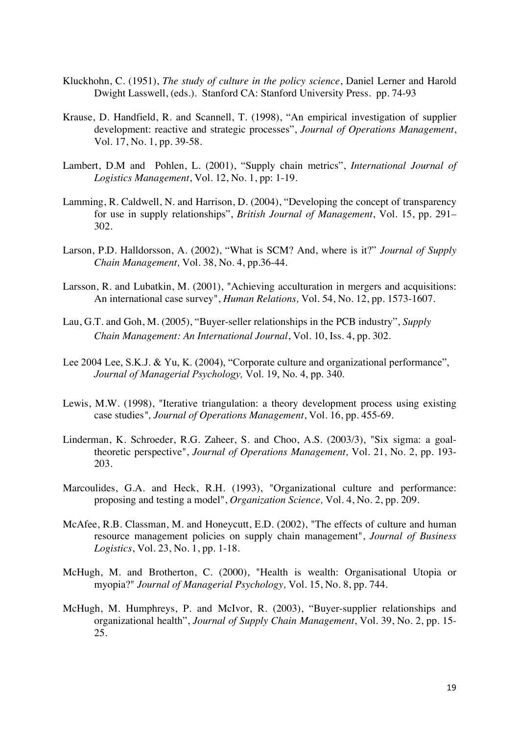- Kluckhohn, C. (1951), *The study of culture in the policy science*, Daniel Lerner and Harold Dwight Lasswell, (eds.). Stanford CA: Stanford University Press. pp. 74-93
- Krause, D. Handfield, R. and Scannell, T. (1998), "An empirical investigation of supplier development: reactive and strategic processes", *Journal of Operations Management*, Vol. 17, No. 1, pp. 39-58.
- Lambert, D.M and Pohlen, L. (2001), "Supply chain metrics", *International Journal of Logistics Management*, Vol. 12, No. 1, pp: 1-19.
- Lamming, R. Caldwell, N. and Harrison, D. (2004), "Developing the concept of transparency for use in supply relationships", *British Journal of Management*, Vol. 15, pp. 291– 302.
- Larson, P.D. Halldorsson, A. (2002), "What is SCM? And, where is it?" *Journal of Supply Chain Management,* Vol. 38, No. 4, pp.36-44.
- Larsson, R. and Lubatkin, M. (2001), "Achieving acculturation in mergers and acquisitions: An international case survey", *Human Relations,* Vol. 54, No. 12, pp. 1573-1607.
- Lau, G.T. and Goh, M. (2005), "Buyer-seller relationships in the PCB industry", *Supply Chain Management: An International Journal*, Vol. 10, Iss. 4, pp. 302.
- Lee 2004 Lee, S.K.J. & Yu, K. (2004), "Corporate culture and organizational performance", *Journal of Managerial Psychology,* Vol. 19, No. 4, pp. 340.
- Lewis, M.W. (1998), "Iterative triangulation: a theory development process using existing case studies*", Journal of Operations Management*, Vol. 16, pp. 455-69.
- Linderman, K. Schroeder, R.G. Zaheer, S. and Choo, A.S. (2003/3), "Six sigma: a goaltheoretic perspective", *Journal of Operations Management,* Vol. 21, No. 2, pp. 193- 203.
- Marcoulides, G.A. and Heck, R.H. (1993), "Organizational culture and performance: proposing and testing a model", *Organization Science,* Vol. 4, No. 2, pp. 209.
- McAfee, R.B. Classman, M. and Honeycutt, E.D. (2002), "The effects of culture and human resource management policies on supply chain management", *Journal of Business Logistics*, Vol. 23, No. 1, pp. 1-18.
- McHugh, M. and Brotherton, C. (2000), "Health is wealth: Organisational Utopia or myopia?" *Journal of Managerial Psychology,* Vol. 15, No. 8, pp. 744.
- McHugh, M. Humphreys, P. and McIvor, R. (2003), "Buyer-supplier relationships and organizational health", *Journal of Supply Chain Management*, Vol. 39, No. 2, pp. 15- 25.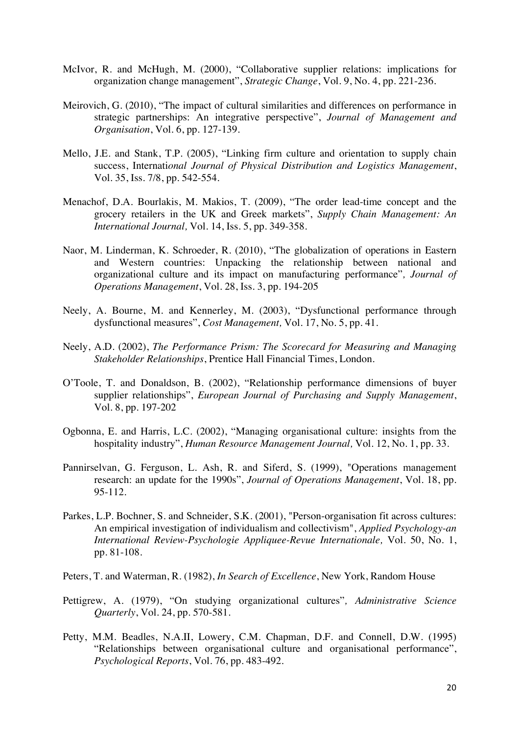- McIvor, R. and McHugh, M. (2000), "Collaborative supplier relations: implications for organization change management", *Strategic Change*, Vol. 9, No. 4, pp. 221-236.
- Meirovich, G. (2010), "The impact of cultural similarities and differences on performance in strategic partnerships: An integrative perspective", *Journal of Management and Organisation*, Vol. 6, pp. 127-139.
- Mello, J.E. and Stank, T.P. (2005), "Linking firm culture and orientation to supply chain success, Internati*onal Journal of Physical Distribution and Logistics Management*, Vol. 35, Iss. 7/8, pp. 542-554.
- Menachof, D.A. Bourlakis, M. Makios, T. (2009), "The order lead-time concept and the grocery retailers in the UK and Greek markets", *Supply Chain Management: An International Journal,* Vol. 14, Iss. 5, pp. 349-358.
- Naor, M. Linderman, K. Schroeder, R. (2010), "The globalization of operations in Eastern and Western countries: Unpacking the relationship between national and organizational culture and its impact on manufacturing performance"*, Journal of Operations Management*, Vol. 28, Iss. 3, pp. 194-205
- Neely, A. Bourne, M. and Kennerley, M. (2003), "Dysfunctional performance through dysfunctional measures", *Cost Management,* Vol. 17, No. 5, pp. 41.
- Neely, A.D. (2002), *The Performance Prism: The Scorecard for Measuring and Managing Stakeholder Relationships*, Prentice Hall Financial Times, London.
- O'Toole, T. and Donaldson, B. (2002), "Relationship performance dimensions of buyer supplier relationships", *European Journal of Purchasing and Supply Management*, Vol. 8, pp. 197-202
- Ogbonna, E. and Harris, L.C. (2002), "Managing organisational culture: insights from the hospitality industry", *Human Resource Management Journal,* Vol. 12, No. 1, pp. 33.
- Pannirselvan, G. Ferguson, L. Ash, R. and Siferd, S. (1999), "Operations management research: an update for the 1990s", *Journal of Operations Management*, Vol. 18, pp. 95-112.
- Parkes, L.P. Bochner, S. and Schneider, S.K. (2001), "Person-organisation fit across cultures: An empirical investigation of individualism and collectivism", *Applied Psychology-an International Review-Psychologie Appliquee-Revue Internationale,* Vol. 50, No. 1, pp. 81-108.
- Peters, T. and Waterman, R. (1982), *In Search of Excellence*, New York, Random House
- Pettigrew, A. (1979), "On studying organizational cultures"*, Administrative Science Quarterly*, Vol. 24, pp. 570-581.
- Petty, M.M. Beadles, N.A.II, Lowery, C.M. Chapman, D.F. and Connell, D.W. (1995) "Relationships between organisational culture and organisational performance", *Psychological Reports*, Vol. 76, pp. 483-492.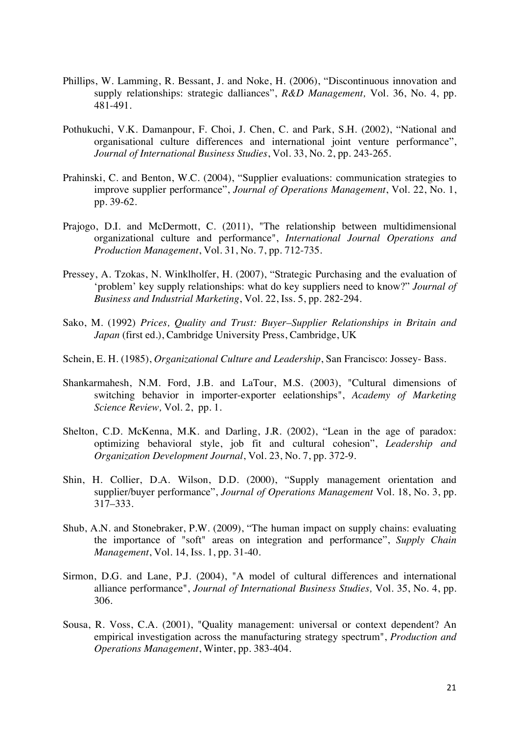- Phillips, W. Lamming, R. Bessant, J. and Noke, H. (2006), "Discontinuous innovation and supply relationships: strategic dalliances", *R&D Management,* Vol. 36, No. 4, pp. 481-491.
- Pothukuchi, V.K. Damanpour, F. Choi, J. Chen, C. and Park, S.H. (2002), "National and organisational culture differences and international joint venture performance", *Journal of International Business Studies*, Vol. 33, No. 2, pp. 243-265.
- Prahinski, C. and Benton, W.C. (2004), "Supplier evaluations: communication strategies to improve supplier performance", *Journal of Operations Management*, Vol. 22, No. 1, pp. 39-62.
- Prajogo, D.I. and McDermott, C. (2011), "The relationship between multidimensional organizational culture and performance", *International Journal Operations and Production Management*, Vol. 31, No. 7, pp. 712-735.
- Pressey, A. Tzokas, N. Winklholfer, H. (2007), "Strategic Purchasing and the evaluation of 'problem' key supply relationships: what do key suppliers need to know?" *Journal of Business and Industrial Marketing*, Vol. 22, Iss. 5, pp. 282-294.
- Sako, M. (1992) *Prices, Quality and Trust: Buyer–Supplier Relationships in Britain and Japan* (first ed.), Cambridge University Press, Cambridge, UK
- Schein, E. H. (1985), *Organizational Culture and Leadership*, San Francisco: Jossey- Bass.
- Shankarmahesh, N.M. Ford, J.B. and LaTour, M.S. (2003), "Cultural dimensions of switching behavior in importer-exporter eelationships", *Academy of Marketing Science Review,* Vol. 2, pp. 1.
- Shelton, C.D. McKenna, M.K. and Darling, J.R. (2002), "Lean in the age of paradox: optimizing behavioral style, job fit and cultural cohesion", *Leadership and Organization Development Journal*, Vol. 23, No. 7, pp. 372-9.
- Shin, H. Collier, D.A. Wilson, D.D. (2000), "Supply management orientation and supplier/buyer performance", *Journal of Operations Management* Vol. 18, No. 3, pp. 317–333.
- Shub, A.N. and Stonebraker, P.W. (2009), "The human impact on supply chains: evaluating the importance of "soft" areas on integration and performance", *Supply Chain Management*, Vol. 14, Iss. 1, pp. 31-40.
- Sirmon, D.G. and Lane, P.J. (2004), "A model of cultural differences and international alliance performance", *Journal of International Business Studies,* Vol. 35, No. 4, pp. 306.
- Sousa, R. Voss, C.A. (2001), "Quality management: universal or context dependent? An empirical investigation across the manufacturing strategy spectrum", *Production and Operations Management*, Winter, pp. 383-404.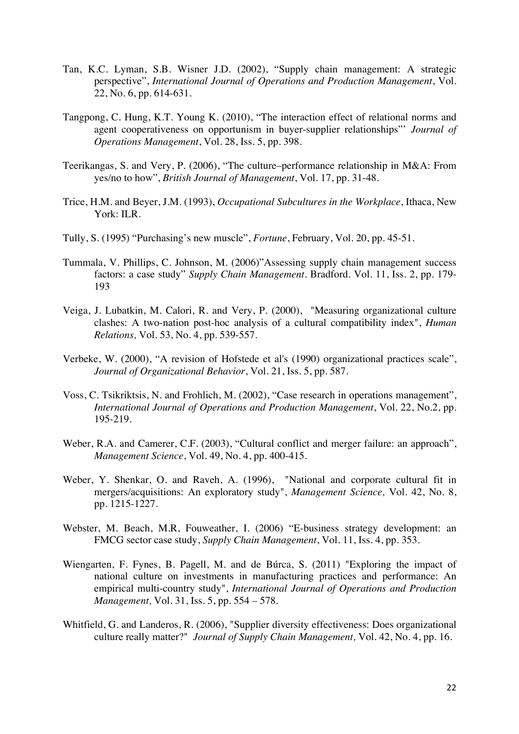- Tan, K.C. Lyman, S.B. Wisner J.D. (2002), "Supply chain management: A strategic perspective", *International Journal of Operations and Production Management*, Vol. 22, No. 6, pp. 614-631.
- Tangpong, C. Hung, K.T. Young K. (2010), "The interaction effect of relational norms and agent cooperativeness on opportunism in buyer-supplier relationships"' *Journal of Operations Management*, Vol. 28, Iss. 5, pp. 398.
- Teerikangas, S. and Very, P. (2006), "The culture–performance relationship in M&A: From yes/no to how", *British Journal of Management*, Vol. 17, pp. 31-48.
- Trice, H.M. and Beyer, J.M. (1993), *Occupational Subcultures in the Workplace*, Ithaca, New York: ILR.
- Tully, S. (1995) "Purchasing's new muscle", *Fortune*, February, Vol. 20, pp. 45-51.
- Tummala, V. Phillips, C. Johnson, M. (2006)"Assessing supply chain management success factors: a case study" *Supply Chain Management*. Bradford. Vol. 11, Iss. 2, pp. 179- 193
- Veiga, J. Lubatkin, M. Calori, R. and Very, P. (2000), "Measuring organizational culture clashes: A two-nation post-hoc analysis of a cultural compatibility index", *Human Relations,* Vol. 53, No. 4, pp. 539-557.
- Verbeke, W. (2000), "A revision of Hofstede et al's (1990) organizational practices scale", *Journal of Organizational Behavior*, Vol. 21, Iss. 5, pp. 587.
- Voss, C. Tsikriktsis, N. and Frohlich, M. (2002), "Case research in operations management", *International Journal of Operations and Production Management*, Vol. 22, No.2, pp. 195-219.
- Weber, R.A. and Camerer, C.F. (2003), "Cultural conflict and merger failure: an approach", *Management Science*, Vol. 49, No. 4, pp. 400-415.
- Weber, Y. Shenkar, O. and Raveh, A. (1996), "National and corporate cultural fit in mergers/acquisitions: An exploratory study", *Management Science,* Vol. 42, No. 8, pp. 1215-1227.
- Webster, M. Beach, M.R, Fouweather, I. (2006) "E-business strategy development: an FMCG sector case study, *Supply Chain Management*, Vol. 11, Iss. 4, pp. 353.
- Wiengarten, F. Fynes, B. Pagell, M. and de Búrca, S. (2011) "Exploring the impact of national culture on investments in manufacturing practices and performance: An empirical multi-country study", *International Journal of Operations and Production Management,* Vol. 31, Iss. 5, pp. 554 – 578.
- Whitfield, G. and Landeros, R. (2006), "Supplier diversity effectiveness: Does organizational culture really matter?" *Journal of Supply Chain Management,* Vol. 42, No. 4, pp. 16.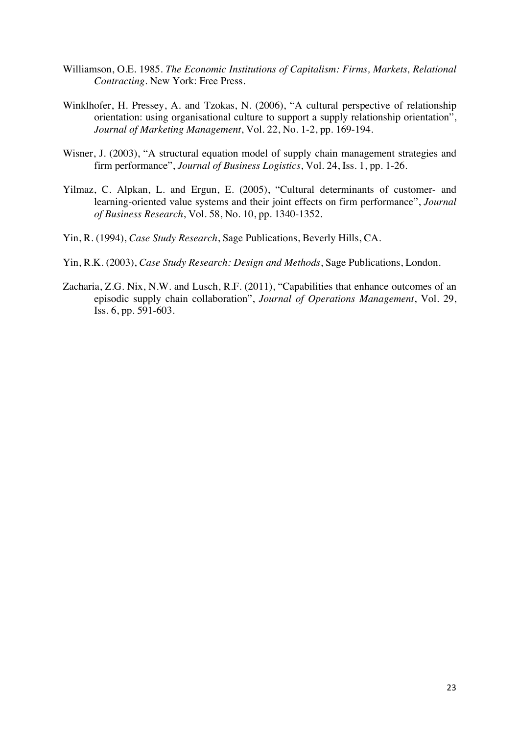- Williamson, O.E. 1985. *The Economic Institutions of Capitalism: Firms, Markets, Relational Contracting*. New York: Free Press.
- Winklhofer, H. Pressey, A. and Tzokas, N. (2006), "A cultural perspective of relationship orientation: using organisational culture to support a supply relationship orientation", *Journal of Marketing Management*, Vol. 22, No. 1-2, pp. 169-194.
- Wisner, J. (2003), "A structural equation model of supply chain management strategies and firm performance", *Journal of Business Logistics*, Vol. 24, Iss. 1, pp. 1-26.
- Yilmaz, C. Alpkan, L. and Ergun, E. (2005), "Cultural determinants of customer- and learning-oriented value systems and their joint effects on firm performance", *Journal of Business Research*, Vol. 58, No. 10, pp. 1340-1352.
- Yin, R. (1994), *Case Study Research*, Sage Publications, Beverly Hills, CA.
- Yin, R.K. (2003), *Case Study Research: Design and Methods*, Sage Publications, London.
- Zacharia, Z.G. Nix, N.W. and Lusch, R.F. (2011), "Capabilities that enhance outcomes of an episodic supply chain collaboration", *Journal of Operations Management*, Vol. 29, Iss. 6, pp. 591-603.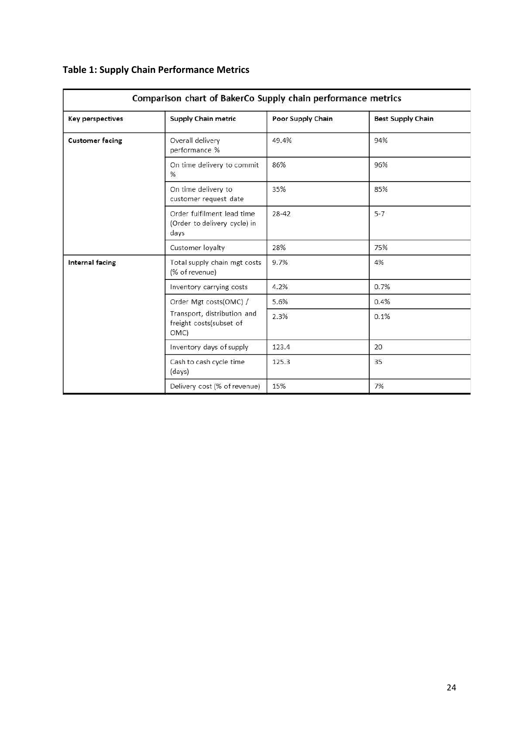| <b>Key perspectives</b> | <b>Supply Chain metric</b>                                         | Poor Supply Chain | <b>Best Supply Chain</b> |
|-------------------------|--------------------------------------------------------------------|-------------------|--------------------------|
| <b>Customer facing</b>  | Overall delivery<br>performance %                                  | 49.4%             | 94%                      |
|                         | On time delivery to commit<br>%                                    | 86%               | 96%                      |
|                         | On time delivery to<br>customer request date                       | 35%               | 85%                      |
|                         | Order fulfilment lead time<br>(Order to delivery cycle) in<br>days | $28 - 42$         | $5 - 7$                  |
|                         | Customer loyalty                                                   | 28%               | 75%                      |
| Internal facing         | Total supply chain mgt costs<br>(% of revenue)                     | 9.7%              | 4%                       |
|                         | Inventory carrying costs                                           | 4.2%              | 0.7%                     |
|                         | Order Mgt costs(OMC) /                                             | 5.6%              | 0.4%                     |
|                         | Transport, distribution and<br>freight costs(subset of<br>OMC)     | 2.3%              | 0.1%                     |
|                         | Inventory days of supply                                           | 123.4             | 20                       |
|                         | Cash to cash cycle time<br>(days)                                  | 125.3             | 35                       |
|                         | Delivery cost (% of revenue)                                       | 15%               | 7%                       |

# **Table 1: Supply Chain Performance Metrics**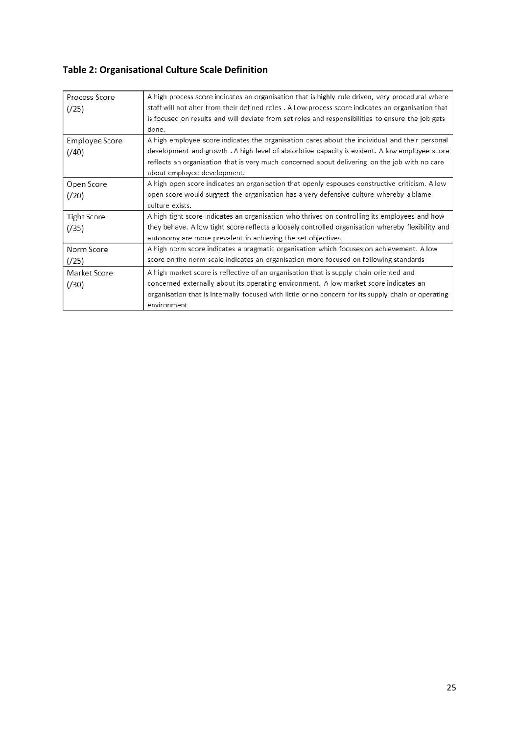# **Table 2: Organisational Culture Scale Definition**

| Process Score<br>(25)   | A high process score indicates an organisation that is highly rule driven, very procedural where.<br>staff will not alter from their defined roles . A Low process score indicates an organisation that<br>is focused on results and will deviate from set roles and responsibilities to ensure the job gets<br>done.           |
|-------------------------|---------------------------------------------------------------------------------------------------------------------------------------------------------------------------------------------------------------------------------------------------------------------------------------------------------------------------------|
| Employee Score<br>(740) | A high employee score indicates the organisation cares about the individual and their personal<br>development and growth . A high level of absorbtive capacity is evident. A low employee score<br>reflects an organisation that is very much concerned about delivering on the job with no care<br>about employee development. |
| Open Score<br>(20)      | A high open score indicates an organisation that openly espouses constructive criticism. A low<br>open score would suggest the organisation has a very defensive culture whereby a blame<br>culture exists.                                                                                                                     |
| Tight Score<br>(735)    | A high tight score indicates an organisation who thrives on controlling its employees and how<br>they behave. A low tight score reflects a loosely controlled organisation whereby flexibility and<br>autonomy are more prevalent in achieving the set objectives.                                                              |
| Norm Score<br>(725)     | A high norm score indicates a pragmatic organisation which focuses on achievement. A low<br>score on the norm scale indicates an organisation more focused on following standards                                                                                                                                               |
| Market Score<br>(730)   | A high market score is reflective of an organisation that is supply chain oriented and<br>concerned externally about its operating environment. A low market score indicates an<br>organisation that is internally focused with little or no concern for its supply chain or operating<br>environment.                          |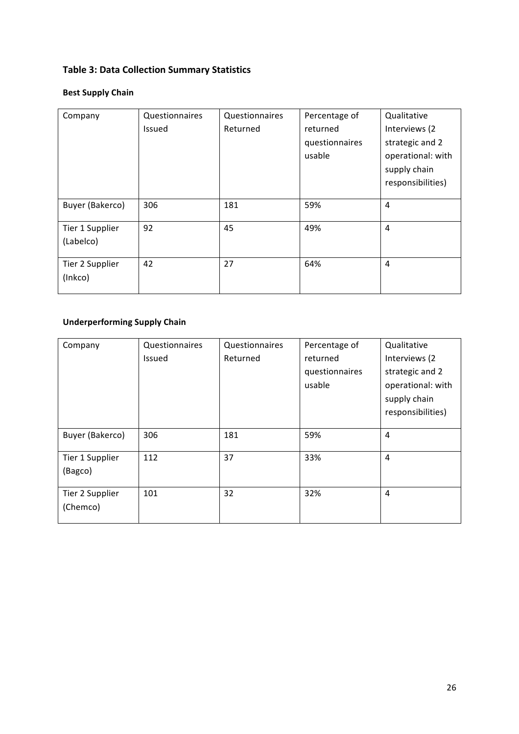# **Table 3: Data Collection Summary Statistics**

# **Best Supply Chain**

| Company         | Questionnaires | Questionnaires | Percentage of  | Qualitative       |
|-----------------|----------------|----------------|----------------|-------------------|
|                 | <b>Issued</b>  | Returned       | returned       | Interviews (2     |
|                 |                |                | questionnaires | strategic and 2   |
|                 |                |                | usable         | operational: with |
|                 |                |                |                | supply chain      |
|                 |                |                |                | responsibilities) |
|                 |                |                |                |                   |
| Buyer (Bakerco) | 306            | 181            | 59%            | 4                 |
| Tier 1 Supplier | 92             | 45             | 49%            | 4                 |
| (Labelco)       |                |                |                |                   |
|                 |                |                |                |                   |
| Tier 2 Supplier | 42             | 27             | 64%            | 4                 |
| (Inkco)         |                |                |                |                   |
|                 |                |                |                |                   |

# **Underperforming Supply Chain**

| Company                     | Questionnaires<br>Issued | Questionnaires<br>Returned | Percentage of<br>returned<br>questionnaires<br>usable | Qualitative<br>Interviews (2<br>strategic and 2<br>operational: with<br>supply chain<br>responsibilities) |
|-----------------------------|--------------------------|----------------------------|-------------------------------------------------------|-----------------------------------------------------------------------------------------------------------|
| Buyer (Bakerco)             | 306                      | 181                        | 59%                                                   | 4                                                                                                         |
| Tier 1 Supplier<br>(Bagco)  | 112                      | 37                         | 33%                                                   | 4                                                                                                         |
| Tier 2 Supplier<br>(Chemco) | 101                      | 32                         | 32%                                                   | 4                                                                                                         |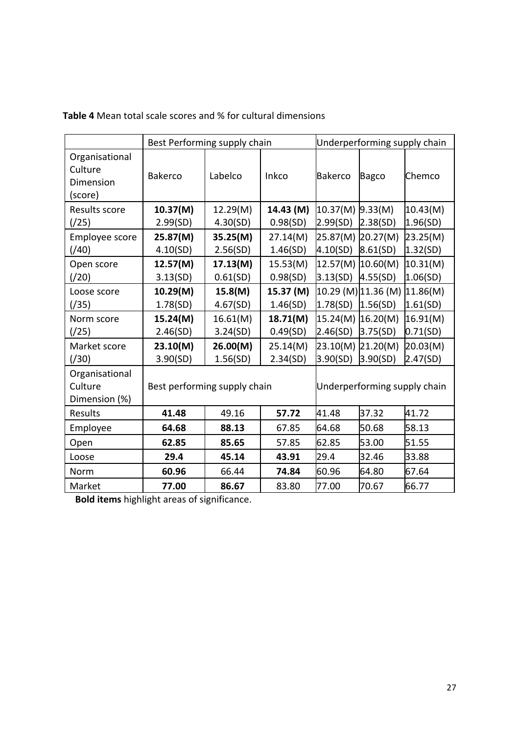|                                                   | Best Performing supply chain                                 |                      |                       | Underperforming supply chain |                                 |                      |
|---------------------------------------------------|--------------------------------------------------------------|----------------------|-----------------------|------------------------------|---------------------------------|----------------------|
| Organisational<br>Culture<br>Dimension<br>(score) | <b>Bakerco</b>                                               | Labelco              | Inkco                 | <b>Bakerco</b>               | <b>Bagco</b>                    | Chemco               |
| Results score<br>(25)                             | 10.37(M)<br>2.99(SD)                                         | 12.29(M)<br>4.30(SD) | 14.43 (M)<br>0.98(SD) | 10.37(M)<br>2.99(SD)         | 9.33(M)<br>2.38(SD)             | 10.43(M)<br>1.96(SD) |
| Employee score<br>(740)                           | 25.87(M)<br>4.10(SD)                                         | 35.25(M)<br>2.56(SD) | 27.14(M)<br>1.46(SD)  | 25.87(M)<br>4.10(SD)         | 20.27(M)<br>8.61(SD)            | 23.25(M)<br>1.32(SD) |
| Open score<br>(20)                                | 12.57(M)<br>3.13(SD)                                         | 17.13(M)<br>0.61(SD) | 15.53(M)<br>0.98(SD)  | 12.57(M)<br>3.13(SD)         | 10.60(M)<br>4.55(SD)            | 10.31(M)<br>1.06(SD) |
| Loose score<br>(735)                              | 10.29(M)<br>1.78(SD)                                         | 15.8(M)<br>4.67(SD)  | 15.37 (M)<br>1.46(SD) | 1.78(SD)                     | 10.29 (M) 11.36 (M)<br>1.56(SD) | 11.86(M)<br>1.61(SD) |
| Norm score<br>(25)                                | 15.24(M)<br>2.46(SD)                                         | 16.61(M)<br>3.24(SD) | 18.71(M)<br>0.49(SD)  | 15.24(M)<br>2.46(SD)         | 16.20(M)<br>3.75(SD)            | 16.91(M)<br>0.71(SD) |
| Market score<br>(730)                             | 23.10(M)<br>3.90(SD)                                         | 26.00(M)<br>1.56(SD) | 25.14(M)<br>2.34(SD)  | 23.10(M)<br>3.90(SD)         | 21.20(M)<br>3.90(SD)            | 20.03(M)<br>2.47(SD) |
| Organisational<br>Culture<br>Dimension (%)        | Best performing supply chain<br>Underperforming supply chain |                      |                       |                              |                                 |                      |
| <b>Results</b>                                    | 41.48                                                        | 49.16                | 57.72                 | 41.48                        | 37.32                           | 41.72                |
| Employee                                          | 64.68                                                        | 88.13                | 67.85                 | 64.68                        | 50.68                           | 58.13                |
| Open                                              | 62.85                                                        | 85.65                | 57.85                 | 62.85                        | 53.00                           | 51.55                |
| Loose                                             | 29.4                                                         | 45.14                | 43.91                 | 29.4                         | 32.46                           | 33.88                |
| Norm                                              | 60.96                                                        | 66.44                | 74.84                 | 60.96                        | 64.80                           | 67.64                |
| Market                                            | 77.00                                                        | 86.67                | 83.80                 | 77.00                        | 70.67                           | 66.77                |

Table 4 Mean total scale scores and % for cultural dimensions

**Bold items** highlight areas of significance.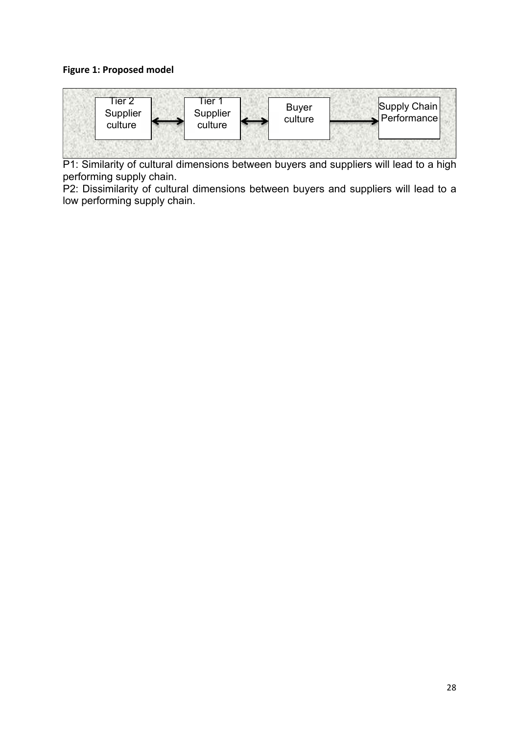## **Figure 1: Proposed model**



P1: Similarity of cultural dimensions between buyers and suppliers will lead to a high performing supply chain.

P2: Dissimilarity of cultural dimensions between buyers and suppliers will lead to a low performing supply chain.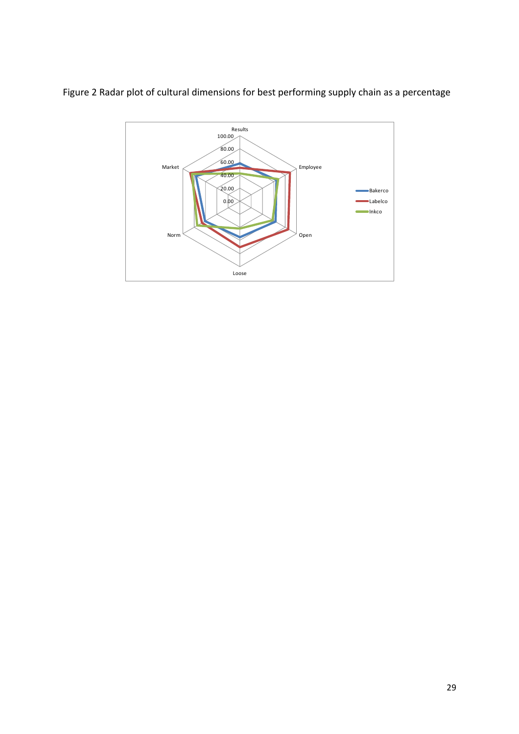Figure 2 Radar plot of cultural dimensions for best performing supply chain as a percentage

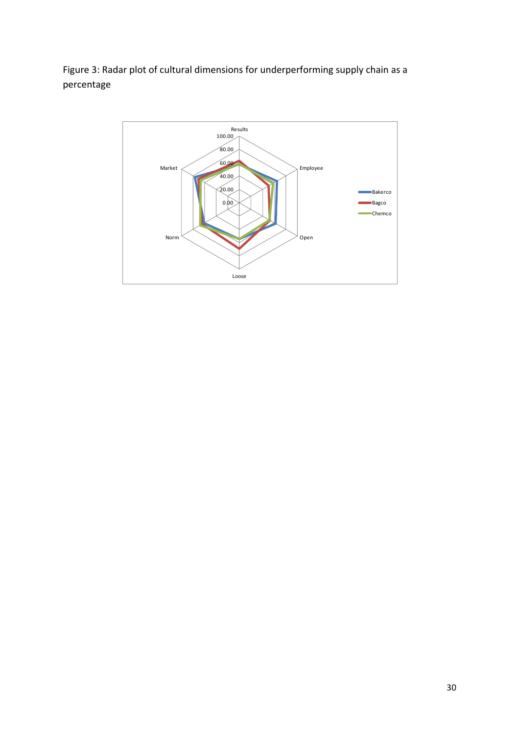Figure 3: Radar plot of cultural dimensions for underperforming supply chain as a percentage

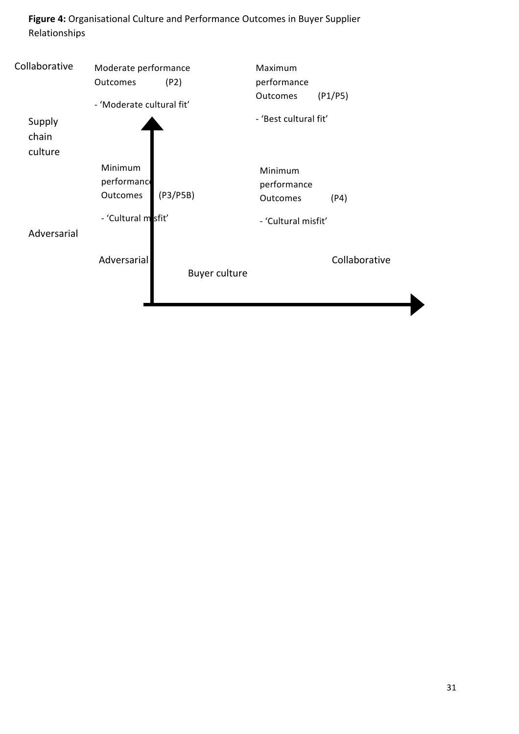Figure 4: Organisational Culture and Performance Outcomes in Buyer Supplier Relationships

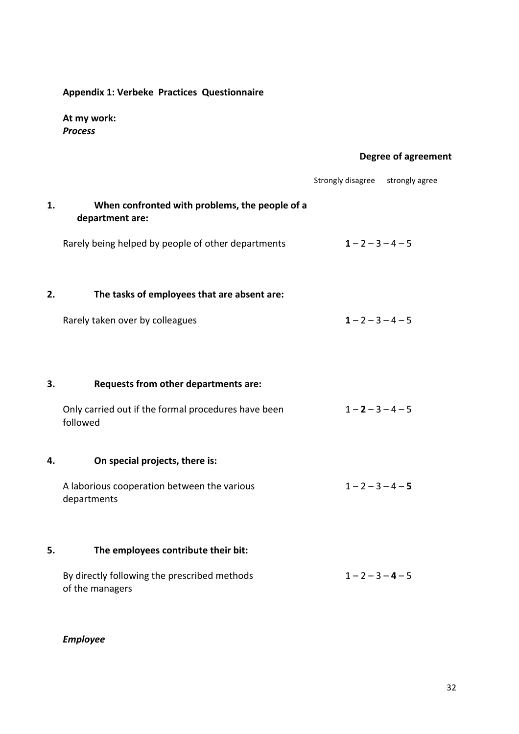# Appendix 1: Verbeke Practices Questionnaire

At my work: **Process** 

# **Degree of agreement**

|    |                                                                   | Strongly disagree strongly agree |  |
|----|-------------------------------------------------------------------|----------------------------------|--|
| 1. | When confronted with problems, the people of a<br>department are: |                                  |  |
|    | Rarely being helped by people of other departments                | $1 - 2 - 3 - 4 - 5$              |  |
| 2. | The tasks of employees that are absent are:                       |                                  |  |
|    | Rarely taken over by colleagues                                   | $1 - 2 - 3 - 4 - 5$              |  |
| 3. | Requests from other departments are:                              |                                  |  |
|    | Only carried out if the formal procedures have been<br>followed   | $1 - 2 - 3 - 4 - 5$              |  |
| 4. | On special projects, there is:                                    |                                  |  |
|    | A laborious cooperation between the various<br>departments        | $1 - 2 - 3 - 4 - 5$              |  |
| 5. | The employees contribute their bit:                               |                                  |  |
|    | By directly following the prescribed methods<br>of the managers   | $1 - 2 - 3 - 4 - 5$              |  |

*Employee*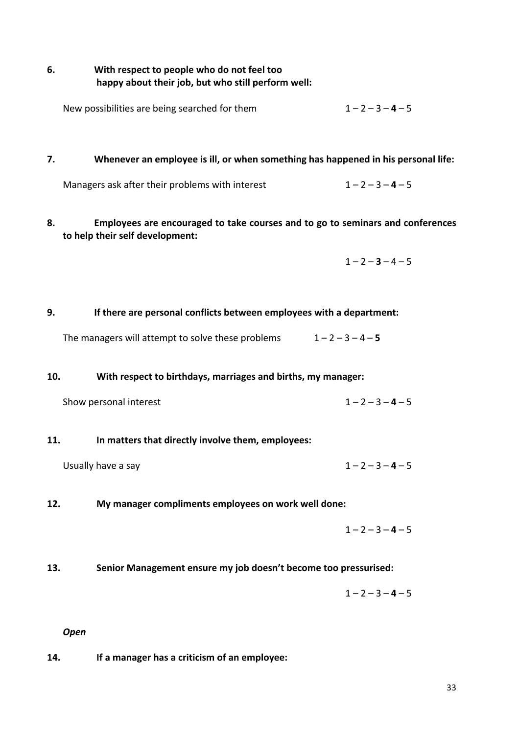## 6. With respect to people who do not feel too happy about their job, but who still perform well:

| New possibilities are being searched for them | $1 - 2 - 3 - 4 - 5$ |
|-----------------------------------------------|---------------------|
|-----------------------------------------------|---------------------|

#### **7.** Whenever an employee is ill, or when something has happened in his personal life:

Managers ask after their problems with interest  $1-2-3-4-5$ 

8. **Employees are encouraged to take courses and to go to seminars and conferences** to help their self development:

 $1 - 2 - 3 - 4 - 5$ 

#### 9. If there are personal conflicts between employees with a department:

The managers will attempt to solve these problems  $1-2-3-4-5$ 

#### 10. With respect to birthdays, marriages and births, my manager:

| Show personal interest | $1 - 2 - 3 - 4 - 5$ |
|------------------------|---------------------|
|------------------------|---------------------|

#### **11.** In matters that directly involve them, employees:

- Usually have a say  $1-2-3-4-5$
- 12. My manager compliments employees on work well done:

 $1 - 2 - 3 - 4 - 5$ 

## 13. Senior Management ensure my job doesn't become too pressurised:

 $1 - 2 - 3 - 4 - 5$ 

#### *Open*

**14.** If a manager has a criticism of an employee: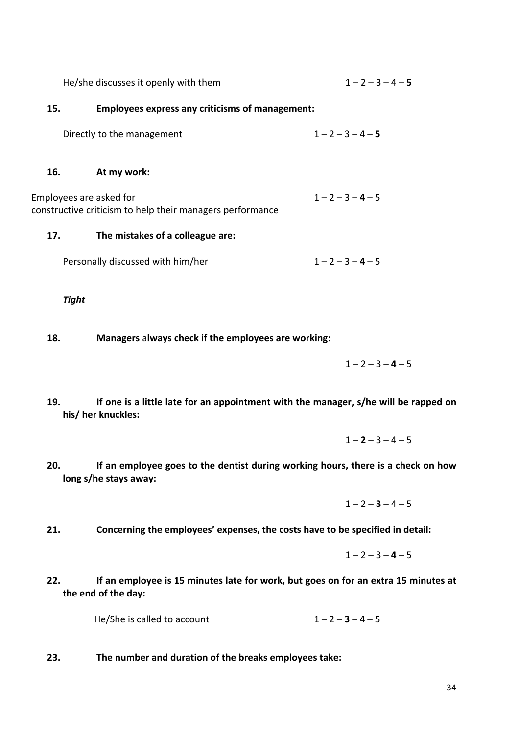|                         | He/she discusses it openly with them                      | $1 - 2 - 3 - 4 - 5$ |
|-------------------------|-----------------------------------------------------------|---------------------|
| 15.                     | <b>Employees express any criticisms of management:</b>    |                     |
|                         | Directly to the management                                | $1 - 2 - 3 - 4 - 5$ |
| 16.                     | At my work:                                               |                     |
| Employees are asked for | constructive criticism to help their managers performance | $1 - 2 - 3 - 4 - 5$ |
| 17.                     | The mistakes of a colleague are:                          |                     |
|                         | Personally discussed with him/her                         | $1 - 2 - 3 - 4 - 5$ |
|                         |                                                           |                     |

*Tight*

18. Managers always check if the employees are working:

 $1 - 2 - 3 - 4 - 5$ 

- 19. If one is a little late for an appointment with the manager, s/he will be rapped on his/ her knuckles:
	- $1 2 3 4 5$
- 20. If an employee goes to the dentist during working hours, there is a check on how long s/he stays away:

 $1 - 2 - 3 - 4 - 5$ 

21. Concerning the employees' expenses, the costs have to be specified in detail:

$$
1-2-3-4-5
$$

22. If an employee is 15 minutes late for work, but goes on for an extra 15 minutes at the end of the day:

He/She is called to account  $1-2-3-4-5$ 

23. The number and duration of the breaks employees take: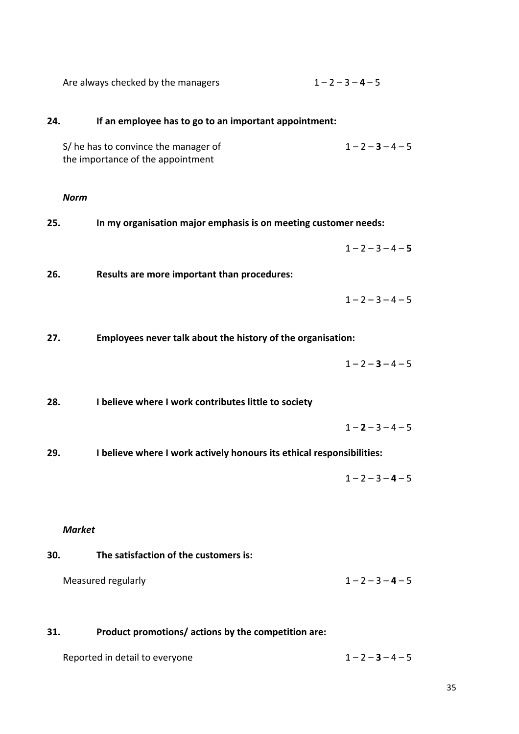| Are always checked by the managers | $1 - 2 - 3 - 4 - 5$ |
|------------------------------------|---------------------|
|------------------------------------|---------------------|

# 24. If an employee has to go to an important appointment: S/ he has to convince the manager of  $1-2-3-4-5$ the importance of the appointment *Norm* 25. In my organisation major emphasis is on meeting customer needs:  $1 - 2 - 3 - 4 - 5$ 26. Results are more important than procedures:  $1 - 2 - 3 - 4 - 5$ 27. Employees never talk about the history of the organisation:  $1 - 2 - 3 - 4 - 5$ 28. I believe where I work contributes little to society  $1 - 2 - 3 - 4 - 5$ 29. I believe where I work actively honours its ethical responsibilities:  $1 - 2 - 3 - 4 - 5$

## *Market*

# **30.** The satisfaction of the customers is:

| Measured regularly | $1 - 2 - 3 - 4 - 5$ |
|--------------------|---------------------|
|--------------------|---------------------|

## **31.** Product promotions/ actions by the competition are:

| Reported in detail to everyone | $1 - 2 - 3 - 4 - 5$ |
|--------------------------------|---------------------|
|                                |                     |